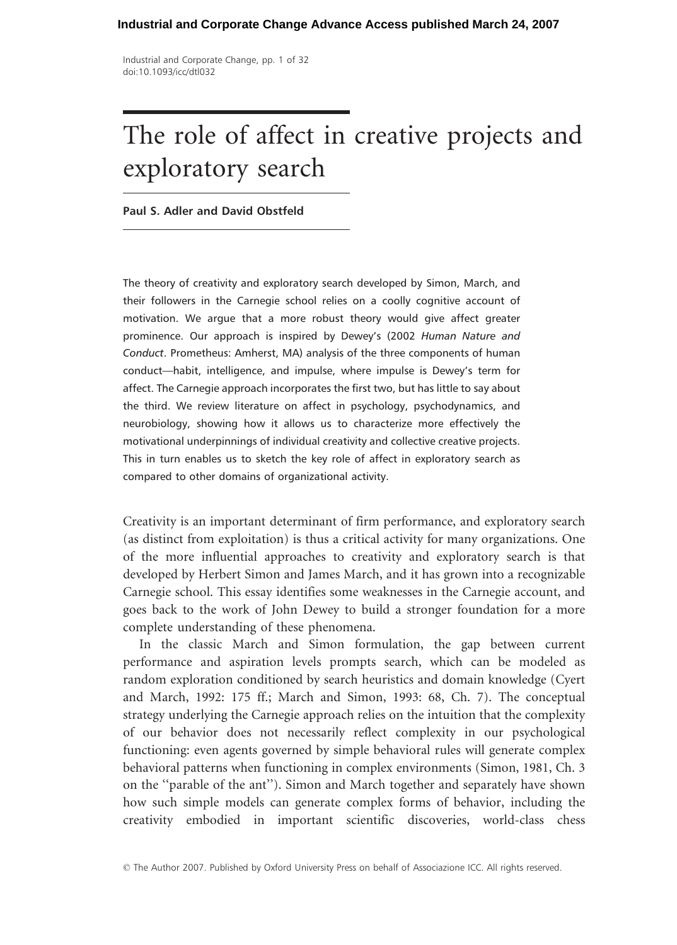Industrial and Corporate Change, pp. 1 of 32 doi:10.1093/icc/dtl032

# The role of affect in creative projects and exploratory search

Paul S. Adler and David Obstfeld

The theory of creativity and exploratory search developed by Simon, March, and their followers in the Carnegie school relies on a coolly cognitive account of motivation. We argue that a more robust theory would give affect greater prominence. Our approach is inspired by Dewey's (2002 Human Nature and Conduct. Prometheus: Amherst, MA) analysis of the three components of human conduct—habit, intelligence, and impulse, where impulse is Dewey's term for affect. The Carnegie approach incorporates the first two, but has little to say about the third. We review literature on affect in psychology, psychodynamics, and neurobiology, showing how it allows us to characterize more effectively the motivational underpinnings of individual creativity and collective creative projects. This in turn enables us to sketch the key role of affect in exploratory search as compared to other domains of organizational activity.

Creativity is an important determinant of firm performance, and exploratory search (as distinct from exploitation) is thus a critical activity for many organizations. One of the more influential approaches to creativity and exploratory search is that developed by Herbert Simon and James March, and it has grown into a recognizable Carnegie school. This essay identifies some weaknesses in the Carnegie account, and goes back to the work of John Dewey to build a stronger foundation for a more complete understanding of these phenomena.

In the classic March and Simon formulation, the gap between current performance and aspiration levels prompts search, which can be modeled as random exploration conditioned by search heuristics and domain knowledge (Cyert and March, 1992: 175 ff.; March and Simon, 1993: 68, Ch. 7). The conceptual strategy underlying the Carnegie approach relies on the intuition that the complexity of our behavior does not necessarily reflect complexity in our psychological functioning: even agents governed by simple behavioral rules will generate complex behavioral patterns when functioning in complex environments (Simon, 1981, Ch. 3 on the ''parable of the ant''). Simon and March together and separately have shown how such simple models can generate complex forms of behavior, including the creativity embodied in important scientific discoveries, world-class chess

The Author 2007. Published by Oxford University Press on behalf of Associazione ICC. All rights reserved.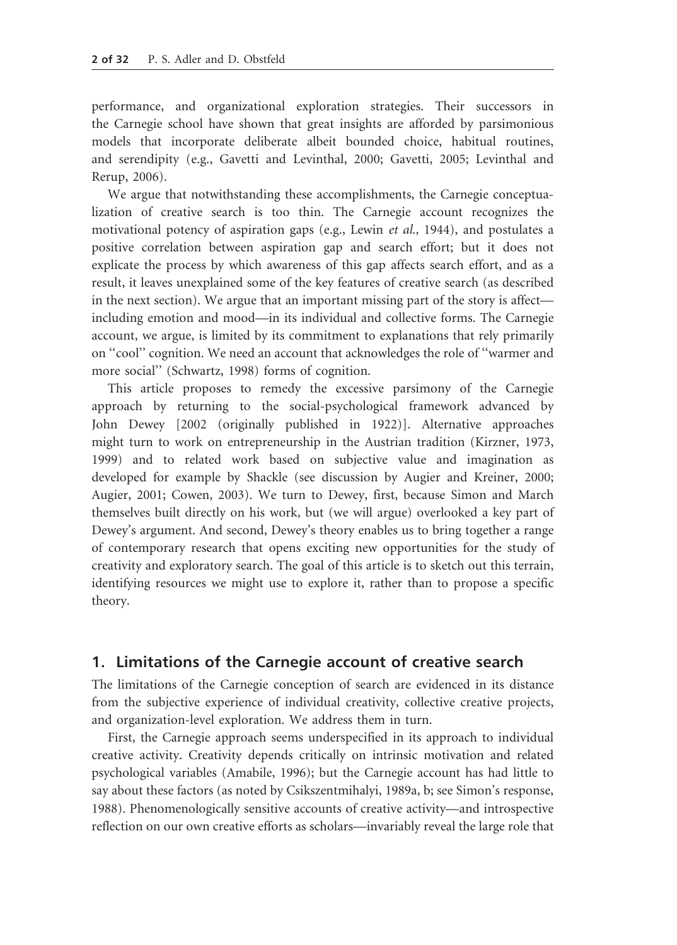performance, and organizational exploration strategies. Their successors in the Carnegie school have shown that great insights are afforded by parsimonious models that incorporate deliberate albeit bounded choice, habitual routines, and serendipity (e.g., Gavetti and Levinthal, 2000; Gavetti, 2005; Levinthal and Rerup, 2006).

We argue that notwithstanding these accomplishments, the Carnegie conceptualization of creative search is too thin. The Carnegie account recognizes the motivational potency of aspiration gaps (e.g., Lewin et al., 1944), and postulates a positive correlation between aspiration gap and search effort; but it does not explicate the process by which awareness of this gap affects search effort, and as a result, it leaves unexplained some of the key features of creative search (as described in the next section). We argue that an important missing part of the story is affect including emotion and mood—in its individual and collective forms. The Carnegie account, we argue, is limited by its commitment to explanations that rely primarily on ''cool'' cognition. We need an account that acknowledges the role of ''warmer and more social'' (Schwartz, 1998) forms of cognition.

This article proposes to remedy the excessive parsimony of the Carnegie approach by returning to the social-psychological framework advanced by John Dewey [2002 (originally published in 1922)]. Alternative approaches might turn to work on entrepreneurship in the Austrian tradition (Kirzner, 1973, 1999) and to related work based on subjective value and imagination as developed for example by Shackle (see discussion by Augier and Kreiner, 2000; Augier, 2001; Cowen, 2003). We turn to Dewey, first, because Simon and March themselves built directly on his work, but (we will argue) overlooked a key part of Dewey's argument. And second, Dewey's theory enables us to bring together a range of contemporary research that opens exciting new opportunities for the study of creativity and exploratory search. The goal of this article is to sketch out this terrain, identifying resources we might use to explore it, rather than to propose a specific theory.

## 1. Limitations of the Carnegie account of creative search

The limitations of the Carnegie conception of search are evidenced in its distance from the subjective experience of individual creativity, collective creative projects, and organization-level exploration. We address them in turn.

First, the Carnegie approach seems underspecified in its approach to individual creative activity. Creativity depends critically on intrinsic motivation and related psychological variables (Amabile, 1996); but the Carnegie account has had little to say about these factors (as noted by Csikszentmihalyi, 1989a, b; see Simon's response, 1988). Phenomenologically sensitive accounts of creative activity—and introspective reflection on our own creative efforts as scholars—invariably reveal the large role that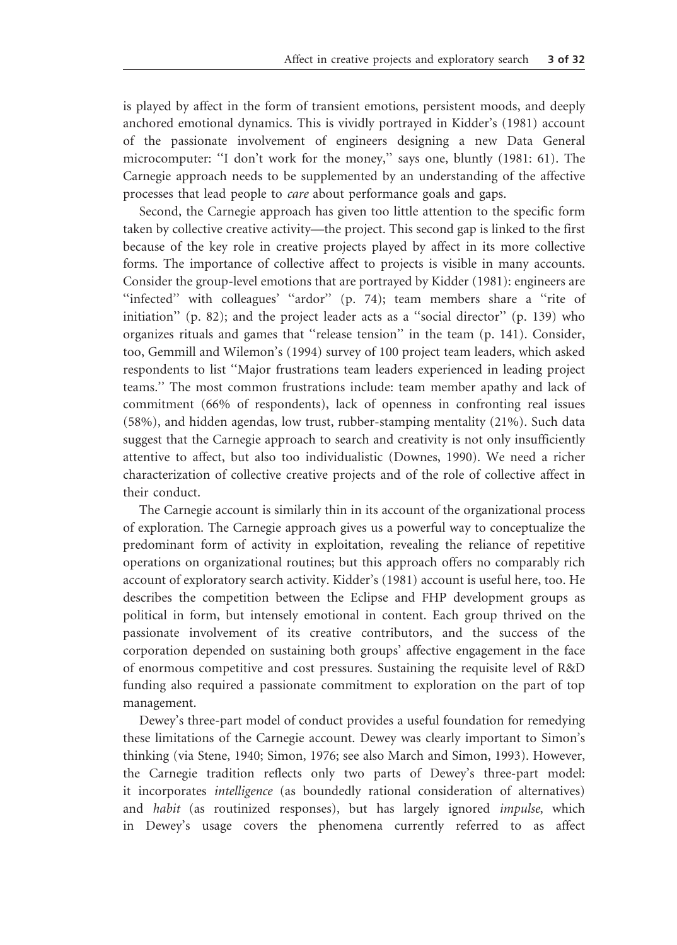is played by affect in the form of transient emotions, persistent moods, and deeply anchored emotional dynamics. This is vividly portrayed in Kidder's (1981) account of the passionate involvement of engineers designing a new Data General microcomputer: ''I don't work for the money,'' says one, bluntly (1981: 61). The Carnegie approach needs to be supplemented by an understanding of the affective processes that lead people to care about performance goals and gaps.

Second, the Carnegie approach has given too little attention to the specific form taken by collective creative activity—the project. This second gap is linked to the first because of the key role in creative projects played by affect in its more collective forms. The importance of collective affect to projects is visible in many accounts. Consider the group-level emotions that are portrayed by Kidder (1981): engineers are ''infected'' with colleagues' ''ardor'' (p. 74); team members share a ''rite of initiation'' (p. 82); and the project leader acts as a ''social director'' (p. 139) who organizes rituals and games that ''release tension'' in the team (p. 141). Consider, too, Gemmill and Wilemon's (1994) survey of 100 project team leaders, which asked respondents to list ''Major frustrations team leaders experienced in leading project teams.'' The most common frustrations include: team member apathy and lack of commitment (66% of respondents), lack of openness in confronting real issues (58%), and hidden agendas, low trust, rubber-stamping mentality (21%). Such data suggest that the Carnegie approach to search and creativity is not only insufficiently attentive to affect, but also too individualistic (Downes, 1990). We need a richer characterization of collective creative projects and of the role of collective affect in their conduct.

The Carnegie account is similarly thin in its account of the organizational process of exploration. The Carnegie approach gives us a powerful way to conceptualize the predominant form of activity in exploitation, revealing the reliance of repetitive operations on organizational routines; but this approach offers no comparably rich account of exploratory search activity. Kidder's (1981) account is useful here, too. He describes the competition between the Eclipse and FHP development groups as political in form, but intensely emotional in content. Each group thrived on the passionate involvement of its creative contributors, and the success of the corporation depended on sustaining both groups' affective engagement in the face of enormous competitive and cost pressures. Sustaining the requisite level of R&D funding also required a passionate commitment to exploration on the part of top management.

Dewey's three-part model of conduct provides a useful foundation for remedying these limitations of the Carnegie account. Dewey was clearly important to Simon's thinking (via Stene, 1940; Simon, 1976; see also March and Simon, 1993). However, the Carnegie tradition reflects only two parts of Dewey's three-part model: it incorporates intelligence (as boundedly rational consideration of alternatives) and habit (as routinized responses), but has largely ignored impulse, which in Dewey's usage covers the phenomena currently referred to as affect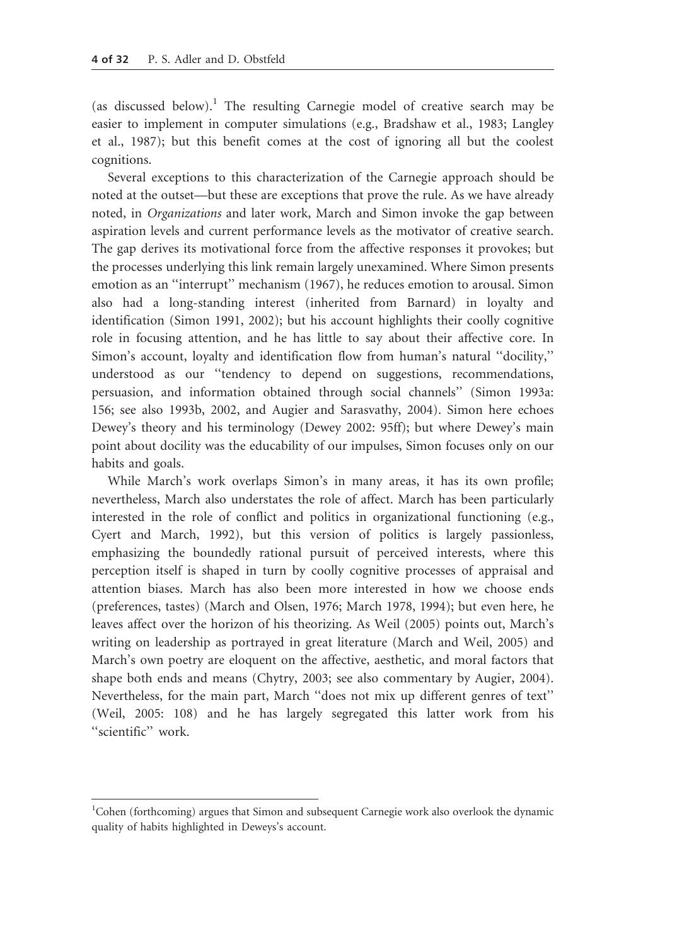(as discussed below).<sup>1</sup> The resulting Carnegie model of creative search may be easier to implement in computer simulations (e.g., Bradshaw et al., 1983; Langley et al., 1987); but this benefit comes at the cost of ignoring all but the coolest cognitions.

Several exceptions to this characterization of the Carnegie approach should be noted at the outset—but these are exceptions that prove the rule. As we have already noted, in Organizations and later work, March and Simon invoke the gap between aspiration levels and current performance levels as the motivator of creative search. The gap derives its motivational force from the affective responses it provokes; but the processes underlying this link remain largely unexamined. Where Simon presents emotion as an ''interrupt'' mechanism (1967), he reduces emotion to arousal. Simon also had a long-standing interest (inherited from Barnard) in loyalty and identification (Simon 1991, 2002); but his account highlights their coolly cognitive role in focusing attention, and he has little to say about their affective core. In Simon's account, loyalty and identification flow from human's natural ''docility,'' understood as our ''tendency to depend on suggestions, recommendations, persuasion, and information obtained through social channels'' (Simon 1993a: 156; see also 1993b, 2002, and Augier and Sarasvathy, 2004). Simon here echoes Dewey's theory and his terminology (Dewey 2002: 95ff); but where Dewey's main point about docility was the educability of our impulses, Simon focuses only on our habits and goals.

While March's work overlaps Simon's in many areas, it has its own profile; nevertheless, March also understates the role of affect. March has been particularly interested in the role of conflict and politics in organizational functioning (e.g., Cyert and March, 1992), but this version of politics is largely passionless, emphasizing the boundedly rational pursuit of perceived interests, where this perception itself is shaped in turn by coolly cognitive processes of appraisal and attention biases. March has also been more interested in how we choose ends (preferences, tastes) (March and Olsen, 1976; March 1978, 1994); but even here, he leaves affect over the horizon of his theorizing. As Weil (2005) points out, March's writing on leadership as portrayed in great literature (March and Weil, 2005) and March's own poetry are eloquent on the affective, aesthetic, and moral factors that shape both ends and means (Chytry, 2003; see also commentary by Augier, 2004). Nevertheless, for the main part, March ''does not mix up different genres of text'' (Weil, 2005: 108) and he has largely segregated this latter work from his "scientific" work.

<sup>&</sup>lt;sup>1</sup>Cohen (forthcoming) argues that Simon and subsequent Carnegie work also overlook the dynamic quality of habits highlighted in Deweys's account.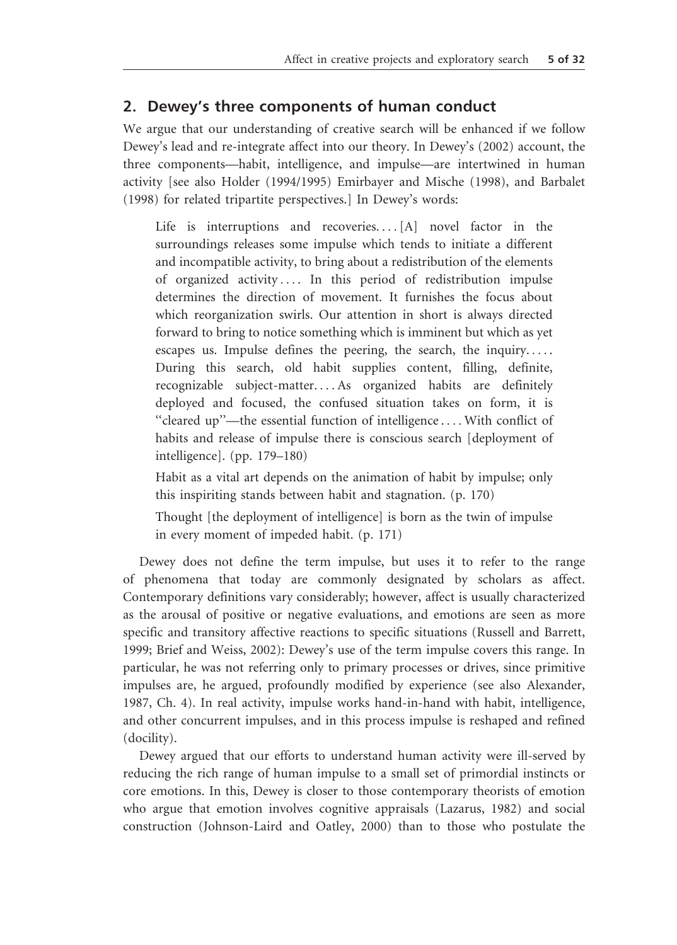## 2. Dewey's three components of human conduct

We argue that our understanding of creative search will be enhanced if we follow Dewey's lead and re-integrate affect into our theory. In Dewey's (2002) account, the three components—habit, intelligence, and impulse—are intertwined in human activity [see also Holder (1994/1995) Emirbayer and Mische (1998), and Barbalet (1998) for related tripartite perspectives.] In Dewey's words:

Life is interruptions and recoveries. ...[A] novel factor in the surroundings releases some impulse which tends to initiate a different and incompatible activity, to bring about a redistribution of the elements of organized activity ... . In this period of redistribution impulse determines the direction of movement. It furnishes the focus about which reorganization swirls. Our attention in short is always directed forward to bring to notice something which is imminent but which as yet escapes us. Impulse defines the peering, the search, the inquiry. ... . During this search, old habit supplies content, filling, definite, recognizable subject-matter. ... As organized habits are definitely deployed and focused, the confused situation takes on form, it is "cleared up"—the essential function of intelligence ... With conflict of habits and release of impulse there is conscious search [deployment of intelligence]. (pp. 179–180)

Habit as a vital art depends on the animation of habit by impulse; only this inspiriting stands between habit and stagnation. (p. 170)

Thought [the deployment of intelligence] is born as the twin of impulse in every moment of impeded habit. (p. 171)

Dewey does not define the term impulse, but uses it to refer to the range of phenomena that today are commonly designated by scholars as affect. Contemporary definitions vary considerably; however, affect is usually characterized as the arousal of positive or negative evaluations, and emotions are seen as more specific and transitory affective reactions to specific situations (Russell and Barrett, 1999; Brief and Weiss, 2002): Dewey's use of the term impulse covers this range. In particular, he was not referring only to primary processes or drives, since primitive impulses are, he argued, profoundly modified by experience (see also Alexander, 1987, Ch. 4). In real activity, impulse works hand-in-hand with habit, intelligence, and other concurrent impulses, and in this process impulse is reshaped and refined (docility).

Dewey argued that our efforts to understand human activity were ill-served by reducing the rich range of human impulse to a small set of primordial instincts or core emotions. In this, Dewey is closer to those contemporary theorists of emotion who argue that emotion involves cognitive appraisals (Lazarus, 1982) and social construction (Johnson-Laird and Oatley, 2000) than to those who postulate the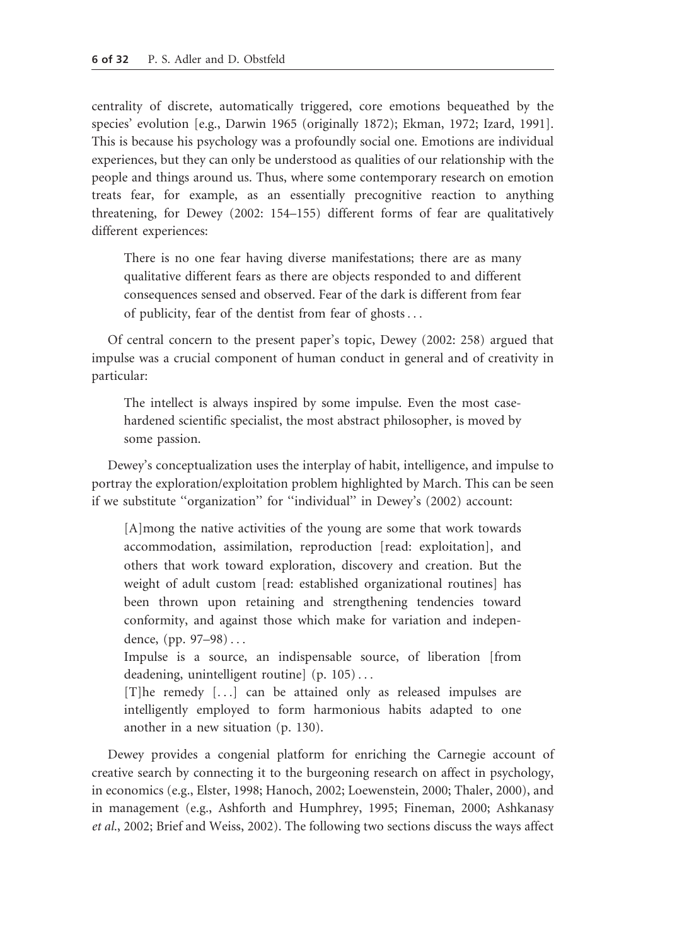centrality of discrete, automatically triggered, core emotions bequeathed by the species' evolution [e.g., Darwin 1965 (originally 1872); Ekman, 1972; Izard, 1991]. This is because his psychology was a profoundly social one. Emotions are individual experiences, but they can only be understood as qualities of our relationship with the people and things around us. Thus, where some contemporary research on emotion treats fear, for example, as an essentially precognitive reaction to anything threatening, for Dewey (2002: 154–155) different forms of fear are qualitatively different experiences:

There is no one fear having diverse manifestations; there are as many qualitative different fears as there are objects responded to and different consequences sensed and observed. Fear of the dark is different from fear of publicity, fear of the dentist from fear of ghosts...

Of central concern to the present paper's topic, Dewey (2002: 258) argued that impulse was a crucial component of human conduct in general and of creativity in particular:

The intellect is always inspired by some impulse. Even the most casehardened scientific specialist, the most abstract philosopher, is moved by some passion.

Dewey's conceptualization uses the interplay of habit, intelligence, and impulse to portray the exploration/exploitation problem highlighted by March. This can be seen if we substitute ''organization'' for ''individual'' in Dewey's (2002) account:

[A]mong the native activities of the young are some that work towards accommodation, assimilation, reproduction [read: exploitation], and others that work toward exploration, discovery and creation. But the weight of adult custom [read: established organizational routines] has been thrown upon retaining and strengthening tendencies toward conformity, and against those which make for variation and independence, (pp. 97–98)...

Impulse is a source, an indispensable source, of liberation [from deadening, unintelligent routine] (p. 105)...

[T]he remedy [...] can be attained only as released impulses are intelligently employed to form harmonious habits adapted to one another in a new situation (p. 130).

Dewey provides a congenial platform for enriching the Carnegie account of creative search by connecting it to the burgeoning research on affect in psychology, in economics (e.g., Elster, 1998; Hanoch, 2002; Loewenstein, 2000; Thaler, 2000), and in management (e.g., Ashforth and Humphrey, 1995; Fineman, 2000; Ashkanasy et al., 2002; Brief and Weiss, 2002). The following two sections discuss the ways affect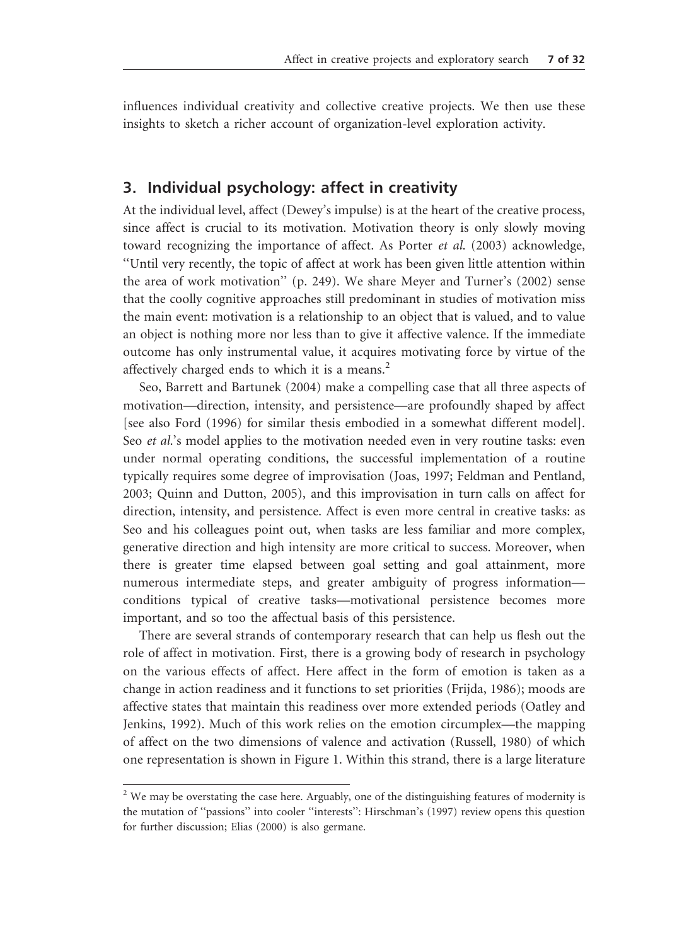influences individual creativity and collective creative projects. We then use these insights to sketch a richer account of organization-level exploration activity.

## 3. Individual psychology: affect in creativity

At the individual level, affect (Dewey's impulse) is at the heart of the creative process, since affect is crucial to its motivation. Motivation theory is only slowly moving toward recognizing the importance of affect. As Porter et al. (2003) acknowledge, ''Until very recently, the topic of affect at work has been given little attention within the area of work motivation'' (p. 249). We share Meyer and Turner's (2002) sense that the coolly cognitive approaches still predominant in studies of motivation miss the main event: motivation is a relationship to an object that is valued, and to value an object is nothing more nor less than to give it affective valence. If the immediate outcome has only instrumental value, it acquires motivating force by virtue of the affectively charged ends to which it is a means.<sup>2</sup>

Seo, Barrett and Bartunek (2004) make a compelling case that all three aspects of motivation—direction, intensity, and persistence—are profoundly shaped by affect [see also Ford (1996) for similar thesis embodied in a somewhat different model]. Seo *et al.*'s model applies to the motivation needed even in very routine tasks: even under normal operating conditions, the successful implementation of a routine typically requires some degree of improvisation (Joas, 1997; Feldman and Pentland, 2003; Quinn and Dutton, 2005), and this improvisation in turn calls on affect for direction, intensity, and persistence. Affect is even more central in creative tasks: as Seo and his colleagues point out, when tasks are less familiar and more complex, generative direction and high intensity are more critical to success. Moreover, when there is greater time elapsed between goal setting and goal attainment, more numerous intermediate steps, and greater ambiguity of progress information conditions typical of creative tasks—motivational persistence becomes more important, and so too the affectual basis of this persistence.

There are several strands of contemporary research that can help us flesh out the role of affect in motivation. First, there is a growing body of research in psychology on the various effects of affect. Here affect in the form of emotion is taken as a change in action readiness and it functions to set priorities (Frijda, 1986); moods are affective states that maintain this readiness over more extended periods (Oatley and Jenkins, 1992). Much of this work relies on the emotion circumplex—the mapping of affect on the two dimensions of valence and activation (Russell, 1980) of which one representation is shown in Figure 1. Within this strand, there is a large literature

<sup>&</sup>lt;sup>2</sup> We may be overstating the case here. Arguably, one of the distinguishing features of modernity is the mutation of ''passions'' into cooler ''interests'': Hirschman's (1997) review opens this question for further discussion; Elias (2000) is also germane.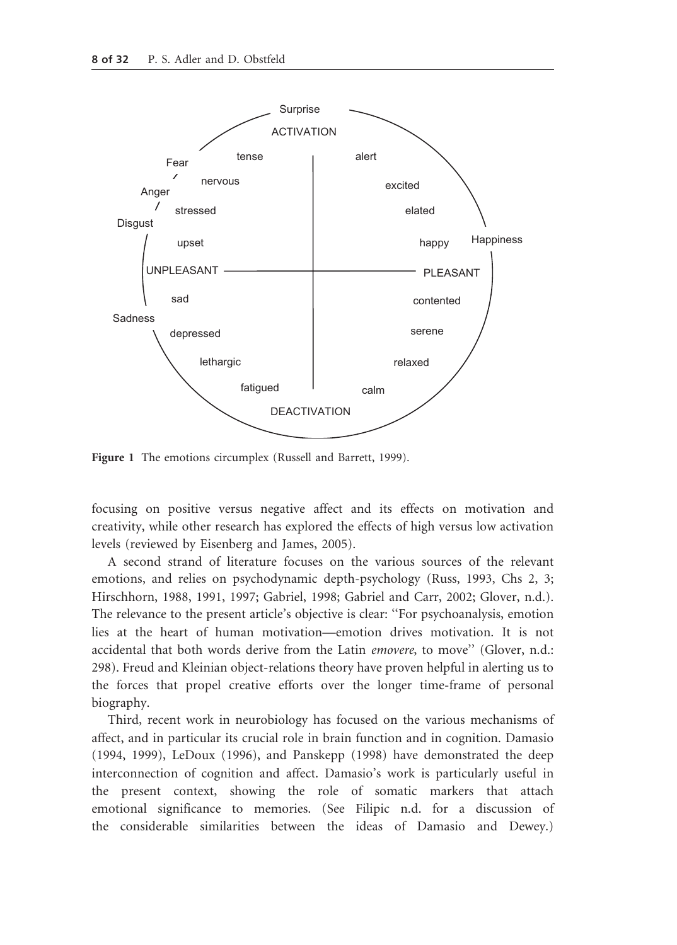

Figure 1 The emotions circumplex (Russell and Barrett, 1999).

focusing on positive versus negative affect and its effects on motivation and creativity, while other research has explored the effects of high versus low activation levels (reviewed by Eisenberg and James, 2005).

A second strand of literature focuses on the various sources of the relevant emotions, and relies on psychodynamic depth-psychology (Russ, 1993, Chs 2, 3; Hirschhorn, 1988, 1991, 1997; Gabriel, 1998; Gabriel and Carr, 2002; Glover, n.d.). The relevance to the present article's objective is clear: ''For psychoanalysis, emotion lies at the heart of human motivation—emotion drives motivation. It is not accidental that both words derive from the Latin emovere, to move'' (Glover, n.d.: 298). Freud and Kleinian object-relations theory have proven helpful in alerting us to the forces that propel creative efforts over the longer time-frame of personal biography.

Third, recent work in neurobiology has focused on the various mechanisms of affect, and in particular its crucial role in brain function and in cognition. Damasio (1994, 1999), LeDoux (1996), and Panskepp (1998) have demonstrated the deep interconnection of cognition and affect. Damasio's work is particularly useful in the present context, showing the role of somatic markers that attach emotional significance to memories. (See Filipic n.d. for a discussion of the considerable similarities between the ideas of Damasio and Dewey.)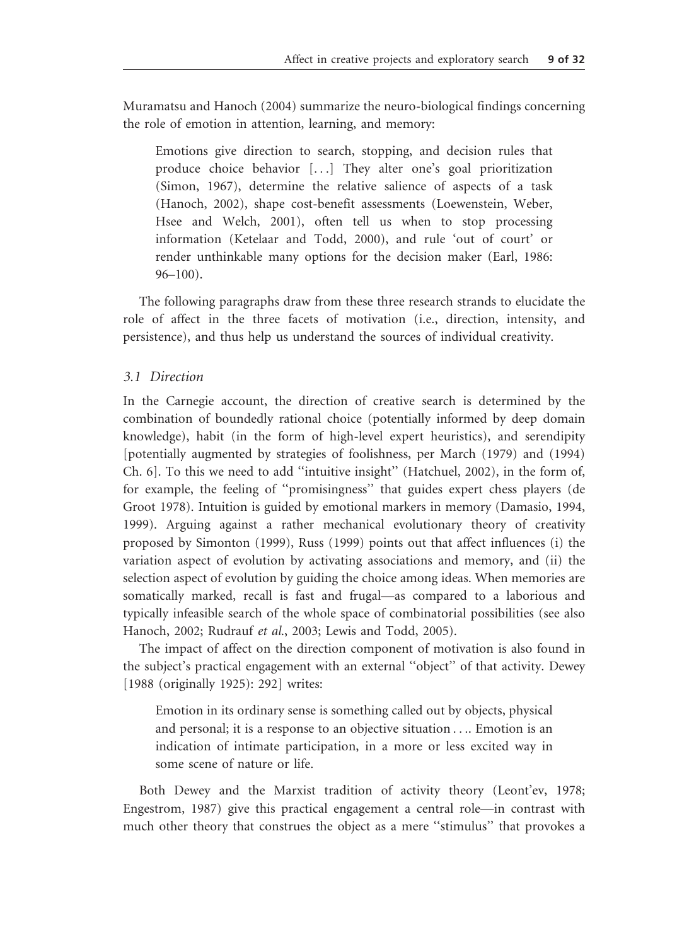Muramatsu and Hanoch (2004) summarize the neuro-biological findings concerning the role of emotion in attention, learning, and memory:

Emotions give direction to search, stopping, and decision rules that produce choice behavior [...] They alter one's goal prioritization (Simon, 1967), determine the relative salience of aspects of a task (Hanoch, 2002), shape cost-benefit assessments (Loewenstein, Weber, Hsee and Welch, 2001), often tell us when to stop processing information (Ketelaar and Todd, 2000), and rule 'out of court' or render unthinkable many options for the decision maker (Earl, 1986: 96–100).

The following paragraphs draw from these three research strands to elucidate the role of affect in the three facets of motivation (i.e., direction, intensity, and persistence), and thus help us understand the sources of individual creativity.

## 3.1 Direction

In the Carnegie account, the direction of creative search is determined by the combination of boundedly rational choice (potentially informed by deep domain knowledge), habit (in the form of high-level expert heuristics), and serendipity [potentially augmented by strategies of foolishness, per March (1979) and (1994) Ch. 6]. To this we need to add ''intuitive insight'' (Hatchuel, 2002), in the form of, for example, the feeling of ''promisingness'' that guides expert chess players (de Groot 1978). Intuition is guided by emotional markers in memory (Damasio, 1994, 1999). Arguing against a rather mechanical evolutionary theory of creativity proposed by Simonton (1999), Russ (1999) points out that affect influences (i) the variation aspect of evolution by activating associations and memory, and (ii) the selection aspect of evolution by guiding the choice among ideas. When memories are somatically marked, recall is fast and frugal—as compared to a laborious and typically infeasible search of the whole space of combinatorial possibilities (see also Hanoch, 2002; Rudrauf et al., 2003; Lewis and Todd, 2005).

The impact of affect on the direction component of motivation is also found in the subject's practical engagement with an external ''object'' of that activity. Dewey [1988 (originally 1925): 292] writes:

Emotion in its ordinary sense is something called out by objects, physical and personal; it is a response to an objective situation .... Emotion is an indication of intimate participation, in a more or less excited way in some scene of nature or life.

Both Dewey and the Marxist tradition of activity theory (Leont'ev, 1978; Engestrom, 1987) give this practical engagement a central role—in contrast with much other theory that construes the object as a mere ''stimulus'' that provokes a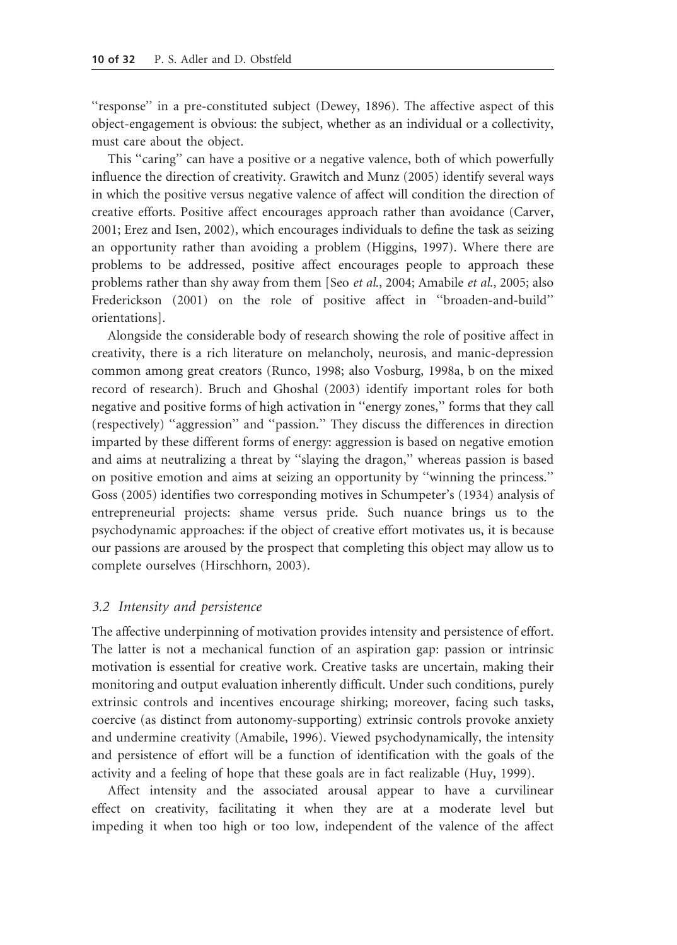"response" in a pre-constituted subject (Dewey, 1896). The affective aspect of this object-engagement is obvious: the subject, whether as an individual or a collectivity, must care about the object.

This ''caring'' can have a positive or a negative valence, both of which powerfully influence the direction of creativity. Grawitch and Munz (2005) identify several ways in which the positive versus negative valence of affect will condition the direction of creative efforts. Positive affect encourages approach rather than avoidance (Carver, 2001; Erez and Isen, 2002), which encourages individuals to define the task as seizing an opportunity rather than avoiding a problem (Higgins, 1997). Where there are problems to be addressed, positive affect encourages people to approach these problems rather than shy away from them [Seo et al., 2004; Amabile et al., 2005; also Frederickson (2001) on the role of positive affect in ''broaden-and-build'' orientations].

Alongside the considerable body of research showing the role of positive affect in creativity, there is a rich literature on melancholy, neurosis, and manic-depression common among great creators (Runco, 1998; also Vosburg, 1998a, b on the mixed record of research). Bruch and Ghoshal (2003) identify important roles for both negative and positive forms of high activation in ''energy zones,'' forms that they call (respectively) ''aggression'' and ''passion.'' They discuss the differences in direction imparted by these different forms of energy: aggression is based on negative emotion and aims at neutralizing a threat by ''slaying the dragon,'' whereas passion is based on positive emotion and aims at seizing an opportunity by ''winning the princess.'' Goss (2005) identifies two corresponding motives in Schumpeter's (1934) analysis of entrepreneurial projects: shame versus pride. Such nuance brings us to the psychodynamic approaches: if the object of creative effort motivates us, it is because our passions are aroused by the prospect that completing this object may allow us to complete ourselves (Hirschhorn, 2003).

## 3.2 Intensity and persistence

The affective underpinning of motivation provides intensity and persistence of effort. The latter is not a mechanical function of an aspiration gap: passion or intrinsic motivation is essential for creative work. Creative tasks are uncertain, making their monitoring and output evaluation inherently difficult. Under such conditions, purely extrinsic controls and incentives encourage shirking; moreover, facing such tasks, coercive (as distinct from autonomy-supporting) extrinsic controls provoke anxiety and undermine creativity (Amabile, 1996). Viewed psychodynamically, the intensity and persistence of effort will be a function of identification with the goals of the activity and a feeling of hope that these goals are in fact realizable (Huy, 1999).

Affect intensity and the associated arousal appear to have a curvilinear effect on creativity, facilitating it when they are at a moderate level but impeding it when too high or too low, independent of the valence of the affect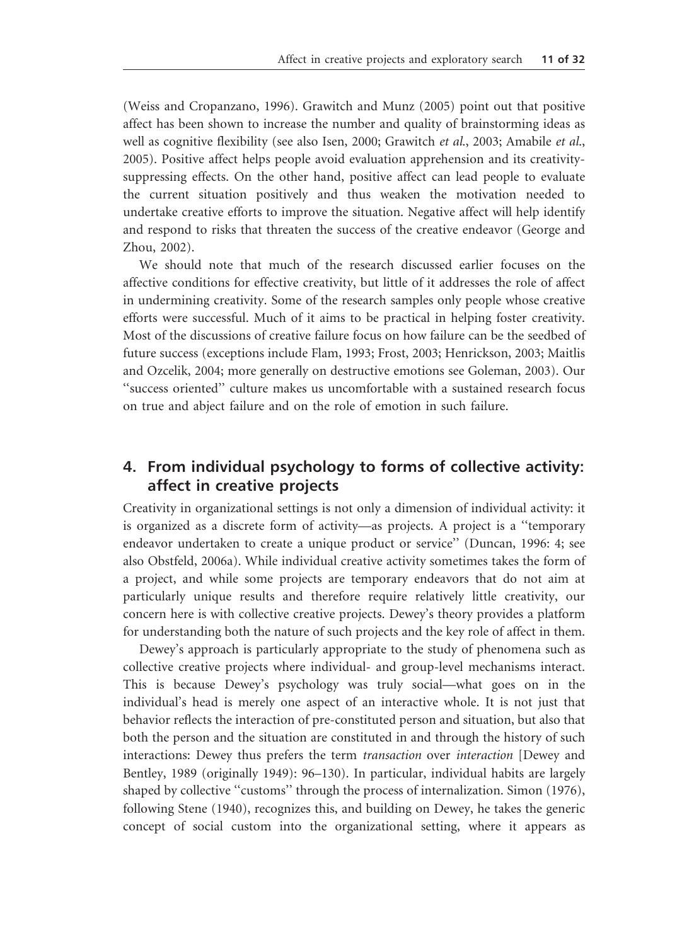(Weiss and Cropanzano, 1996). Grawitch and Munz (2005) point out that positive affect has been shown to increase the number and quality of brainstorming ideas as well as cognitive flexibility (see also Isen, 2000; Grawitch *et al.*, 2003; Amabile *et al.*, 2005). Positive affect helps people avoid evaluation apprehension and its creativitysuppressing effects. On the other hand, positive affect can lead people to evaluate the current situation positively and thus weaken the motivation needed to undertake creative efforts to improve the situation. Negative affect will help identify and respond to risks that threaten the success of the creative endeavor (George and Zhou, 2002).

We should note that much of the research discussed earlier focuses on the affective conditions for effective creativity, but little of it addresses the role of affect in undermining creativity. Some of the research samples only people whose creative efforts were successful. Much of it aims to be practical in helping foster creativity. Most of the discussions of creative failure focus on how failure can be the seedbed of future success (exceptions include Flam, 1993; Frost, 2003; Henrickson, 2003; Maitlis and Ozcelik, 2004; more generally on destructive emotions see Goleman, 2003). Our ''success oriented'' culture makes us uncomfortable with a sustained research focus on true and abject failure and on the role of emotion in such failure.

# 4. From individual psychology to forms of collective activity: affect in creative projects

Creativity in organizational settings is not only a dimension of individual activity: it is organized as a discrete form of activity—as projects. A project is a ''temporary endeavor undertaken to create a unique product or service'' (Duncan, 1996: 4; see also Obstfeld, 2006a). While individual creative activity sometimes takes the form of a project, and while some projects are temporary endeavors that do not aim at particularly unique results and therefore require relatively little creativity, our concern here is with collective creative projects. Dewey's theory provides a platform for understanding both the nature of such projects and the key role of affect in them.

Dewey's approach is particularly appropriate to the study of phenomena such as collective creative projects where individual- and group-level mechanisms interact. This is because Dewey's psychology was truly social—what goes on in the individual's head is merely one aspect of an interactive whole. It is not just that behavior reflects the interaction of pre-constituted person and situation, but also that both the person and the situation are constituted in and through the history of such interactions: Dewey thus prefers the term transaction over interaction [Dewey and Bentley, 1989 (originally 1949): 96–130). In particular, individual habits are largely shaped by collective ''customs'' through the process of internalization. Simon (1976), following Stene (1940), recognizes this, and building on Dewey, he takes the generic concept of social custom into the organizational setting, where it appears as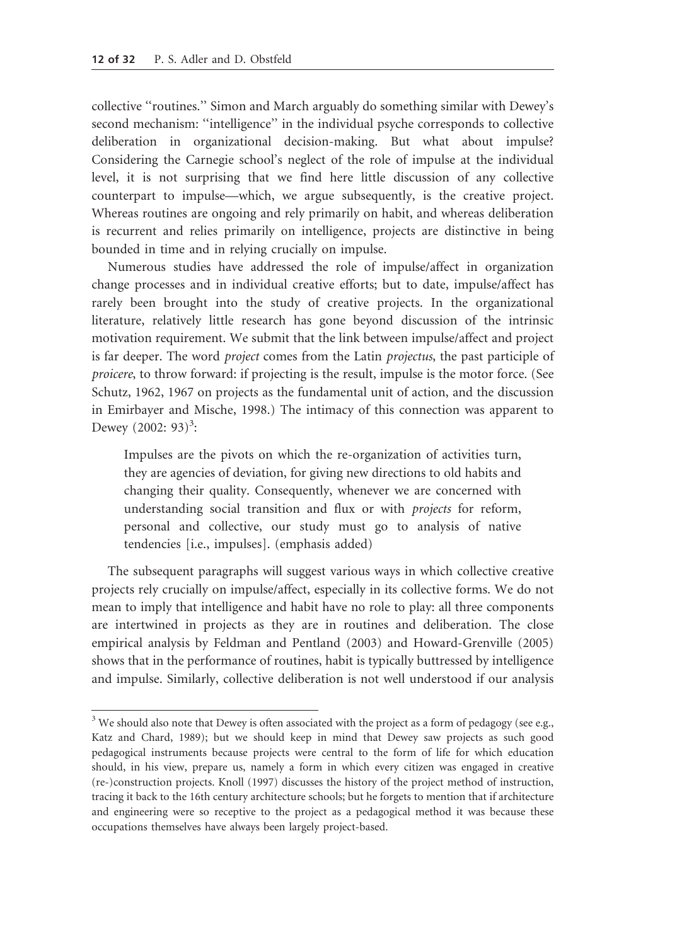collective ''routines.'' Simon and March arguably do something similar with Dewey's second mechanism: ''intelligence'' in the individual psyche corresponds to collective deliberation in organizational decision-making. But what about impulse? Considering the Carnegie school's neglect of the role of impulse at the individual level, it is not surprising that we find here little discussion of any collective counterpart to impulse—which, we argue subsequently, is the creative project. Whereas routines are ongoing and rely primarily on habit, and whereas deliberation is recurrent and relies primarily on intelligence, projects are distinctive in being bounded in time and in relying crucially on impulse.

Numerous studies have addressed the role of impulse/affect in organization change processes and in individual creative efforts; but to date, impulse/affect has rarely been brought into the study of creative projects. In the organizational literature, relatively little research has gone beyond discussion of the intrinsic motivation requirement. We submit that the link between impulse/affect and project is far deeper. The word *project* comes from the Latin *projectus*, the past participle of proicere, to throw forward: if projecting is the result, impulse is the motor force. (See Schutz, 1962, 1967 on projects as the fundamental unit of action, and the discussion in Emirbayer and Mische, 1998.) The intimacy of this connection was apparent to Dewey  $(2002: 93)^3$ :

Impulses are the pivots on which the re-organization of activities turn, they are agencies of deviation, for giving new directions to old habits and changing their quality. Consequently, whenever we are concerned with understanding social transition and flux or with projects for reform, personal and collective, our study must go to analysis of native tendencies [i.e., impulses]. (emphasis added)

The subsequent paragraphs will suggest various ways in which collective creative projects rely crucially on impulse/affect, especially in its collective forms. We do not mean to imply that intelligence and habit have no role to play: all three components are intertwined in projects as they are in routines and deliberation. The close empirical analysis by Feldman and Pentland (2003) and Howard-Grenville (2005) shows that in the performance of routines, habit is typically buttressed by intelligence and impulse. Similarly, collective deliberation is not well understood if our analysis

<sup>&</sup>lt;sup>3</sup> We should also note that Dewey is often associated with the project as a form of pedagogy (see e.g., Katz and Chard, 1989); but we should keep in mind that Dewey saw projects as such good pedagogical instruments because projects were central to the form of life for which education should, in his view, prepare us, namely a form in which every citizen was engaged in creative (re-)construction projects. Knoll (1997) discusses the history of the project method of instruction, tracing it back to the 16th century architecture schools; but he forgets to mention that if architecture and engineering were so receptive to the project as a pedagogical method it was because these occupations themselves have always been largely project-based.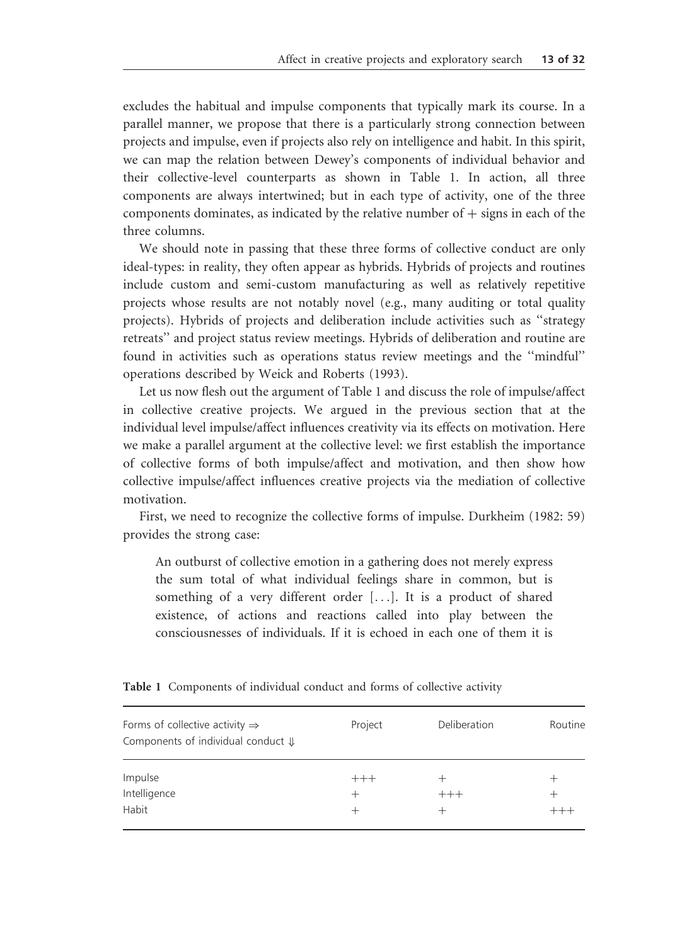excludes the habitual and impulse components that typically mark its course. In a parallel manner, we propose that there is a particularly strong connection between projects and impulse, even if projects also rely on intelligence and habit. In this spirit, we can map the relation between Dewey's components of individual behavior and their collective-level counterparts as shown in Table 1. In action, all three components are always intertwined; but in each type of activity, one of the three components dominates, as indicated by the relative number of  $+$  signs in each of the three columns.

We should note in passing that these three forms of collective conduct are only ideal-types: in reality, they often appear as hybrids. Hybrids of projects and routines include custom and semi-custom manufacturing as well as relatively repetitive projects whose results are not notably novel (e.g., many auditing or total quality projects). Hybrids of projects and deliberation include activities such as ''strategy retreats'' and project status review meetings. Hybrids of deliberation and routine are found in activities such as operations status review meetings and the ''mindful'' operations described by Weick and Roberts (1993).

Let us now flesh out the argument of Table 1 and discuss the role of impulse/affect in collective creative projects. We argued in the previous section that at the individual level impulse/affect influences creativity via its effects on motivation. Here we make a parallel argument at the collective level: we first establish the importance of collective forms of both impulse/affect and motivation, and then show how collective impulse/affect influences creative projects via the mediation of collective motivation.

First, we need to recognize the collective forms of impulse. Durkheim (1982: 59) provides the strong case:

An outburst of collective emotion in a gathering does not merely express the sum total of what individual feelings share in common, but is something of a very different order [...]. It is a product of shared existence, of actions and reactions called into play between the consciousnesses of individuals. If it is echoed in each one of them it is

| Forms of collective activity $\Rightarrow$<br>Components of individual conduct $\Downarrow$ | Project                  | Deliberation | Routine      |
|---------------------------------------------------------------------------------------------|--------------------------|--------------|--------------|
| Impulse<br>Intelligence<br>Habit                                                            | $^{+++}$<br>$\mathrm{+}$ | ┭<br>$+++$   | $^+$<br>$^+$ |

Table 1 Components of individual conduct and forms of collective activity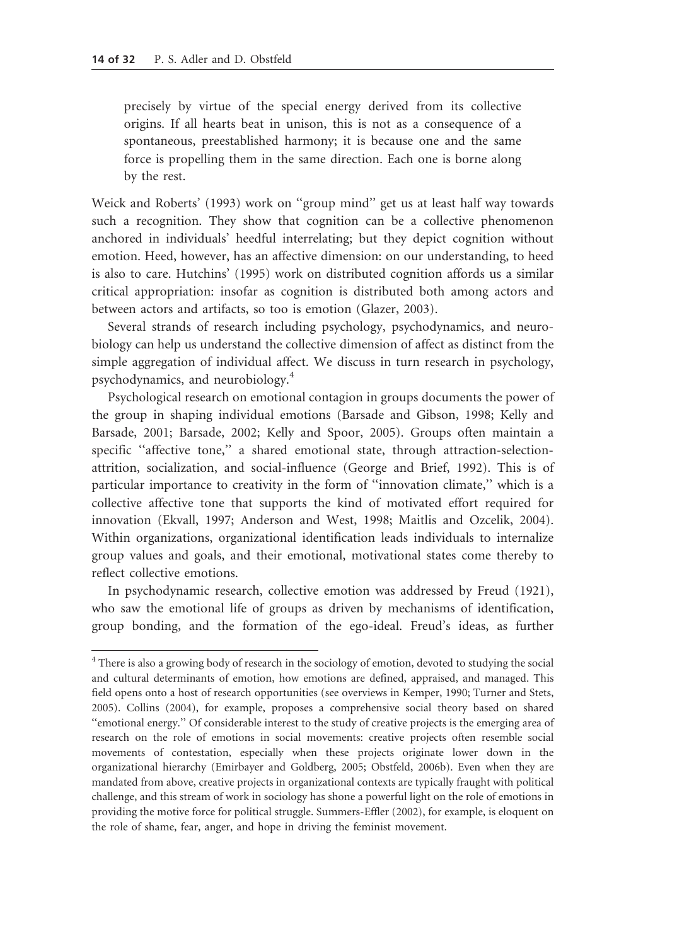precisely by virtue of the special energy derived from its collective origins. If all hearts beat in unison, this is not as a consequence of a spontaneous, preestablished harmony; it is because one and the same force is propelling them in the same direction. Each one is borne along by the rest.

Weick and Roberts' (1993) work on ''group mind'' get us at least half way towards such a recognition. They show that cognition can be a collective phenomenon anchored in individuals' heedful interrelating; but they depict cognition without emotion. Heed, however, has an affective dimension: on our understanding, to heed is also to care. Hutchins' (1995) work on distributed cognition affords us a similar critical appropriation: insofar as cognition is distributed both among actors and between actors and artifacts, so too is emotion (Glazer, 2003).

Several strands of research including psychology, psychodynamics, and neurobiology can help us understand the collective dimension of affect as distinct from the simple aggregation of individual affect. We discuss in turn research in psychology, psychodynamics, and neurobiology.<sup>4</sup>

Psychological research on emotional contagion in groups documents the power of the group in shaping individual emotions (Barsade and Gibson, 1998; Kelly and Barsade, 2001; Barsade, 2002; Kelly and Spoor, 2005). Groups often maintain a specific ''affective tone,'' a shared emotional state, through attraction-selectionattrition, socialization, and social-influence (George and Brief, 1992). This is of particular importance to creativity in the form of ''innovation climate,'' which is a collective affective tone that supports the kind of motivated effort required for innovation (Ekvall, 1997; Anderson and West, 1998; Maitlis and Ozcelik, 2004). Within organizations, organizational identification leads individuals to internalize group values and goals, and their emotional, motivational states come thereby to reflect collective emotions.

In psychodynamic research, collective emotion was addressed by Freud (1921), who saw the emotional life of groups as driven by mechanisms of identification, group bonding, and the formation of the ego-ideal. Freud's ideas, as further

<sup>&</sup>lt;sup>4</sup> There is also a growing body of research in the sociology of emotion, devoted to studying the social and cultural determinants of emotion, how emotions are defined, appraised, and managed. This field opens onto a host of research opportunities (see overviews in Kemper, 1990; Turner and Stets, 2005). Collins (2004), for example, proposes a comprehensive social theory based on shared ''emotional energy.'' Of considerable interest to the study of creative projects is the emerging area of research on the role of emotions in social movements: creative projects often resemble social movements of contestation, especially when these projects originate lower down in the organizational hierarchy (Emirbayer and Goldberg, 2005; Obstfeld, 2006b). Even when they are mandated from above, creative projects in organizational contexts are typically fraught with political challenge, and this stream of work in sociology has shone a powerful light on the role of emotions in providing the motive force for political struggle. Summers-Effler (2002), for example, is eloquent on the role of shame, fear, anger, and hope in driving the feminist movement.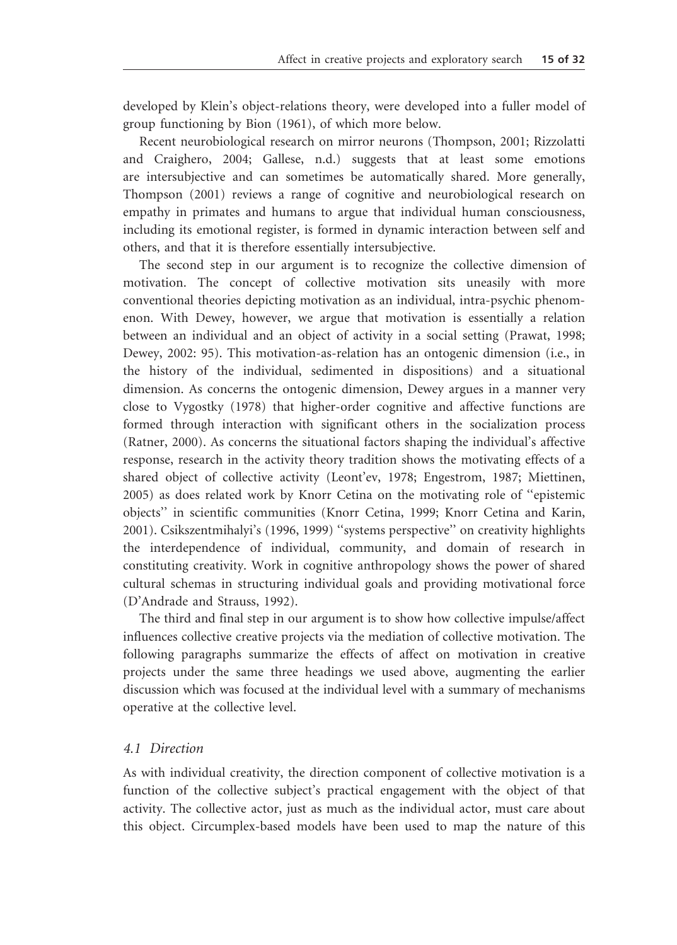developed by Klein's object-relations theory, were developed into a fuller model of group functioning by Bion (1961), of which more below.

Recent neurobiological research on mirror neurons (Thompson, 2001; Rizzolatti and Craighero, 2004; Gallese, n.d.) suggests that at least some emotions are intersubjective and can sometimes be automatically shared. More generally, Thompson (2001) reviews a range of cognitive and neurobiological research on empathy in primates and humans to argue that individual human consciousness, including its emotional register, is formed in dynamic interaction between self and others, and that it is therefore essentially intersubjective.

The second step in our argument is to recognize the collective dimension of motivation. The concept of collective motivation sits uneasily with more conventional theories depicting motivation as an individual, intra-psychic phenomenon. With Dewey, however, we argue that motivation is essentially a relation between an individual and an object of activity in a social setting (Prawat, 1998; Dewey, 2002: 95). This motivation-as-relation has an ontogenic dimension (i.e., in the history of the individual, sedimented in dispositions) and a situational dimension. As concerns the ontogenic dimension, Dewey argues in a manner very close to Vygostky (1978) that higher-order cognitive and affective functions are formed through interaction with significant others in the socialization process (Ratner, 2000). As concerns the situational factors shaping the individual's affective response, research in the activity theory tradition shows the motivating effects of a shared object of collective activity (Leont'ev, 1978; Engestrom, 1987; Miettinen, 2005) as does related work by Knorr Cetina on the motivating role of ''epistemic objects'' in scientific communities (Knorr Cetina, 1999; Knorr Cetina and Karin, 2001). Csikszentmihalyi's (1996, 1999) ''systems perspective'' on creativity highlights the interdependence of individual, community, and domain of research in constituting creativity. Work in cognitive anthropology shows the power of shared cultural schemas in structuring individual goals and providing motivational force (D'Andrade and Strauss, 1992).

The third and final step in our argument is to show how collective impulse/affect influences collective creative projects via the mediation of collective motivation. The following paragraphs summarize the effects of affect on motivation in creative projects under the same three headings we used above, augmenting the earlier discussion which was focused at the individual level with a summary of mechanisms operative at the collective level.

#### 4.1 Direction

As with individual creativity, the direction component of collective motivation is a function of the collective subject's practical engagement with the object of that activity. The collective actor, just as much as the individual actor, must care about this object. Circumplex-based models have been used to map the nature of this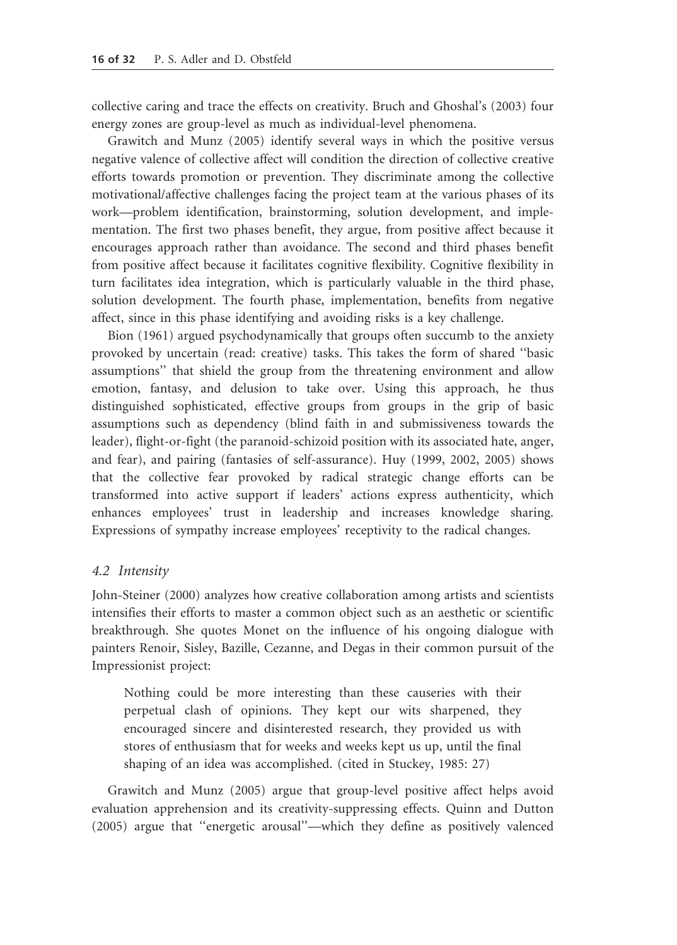collective caring and trace the effects on creativity. Bruch and Ghoshal's (2003) four energy zones are group-level as much as individual-level phenomena.

Grawitch and Munz (2005) identify several ways in which the positive versus negative valence of collective affect will condition the direction of collective creative efforts towards promotion or prevention. They discriminate among the collective motivational/affective challenges facing the project team at the various phases of its work—problem identification, brainstorming, solution development, and implementation. The first two phases benefit, they argue, from positive affect because it encourages approach rather than avoidance. The second and third phases benefit from positive affect because it facilitates cognitive flexibility. Cognitive flexibility in turn facilitates idea integration, which is particularly valuable in the third phase, solution development. The fourth phase, implementation, benefits from negative affect, since in this phase identifying and avoiding risks is a key challenge.

Bion (1961) argued psychodynamically that groups often succumb to the anxiety provoked by uncertain (read: creative) tasks. This takes the form of shared ''basic assumptions'' that shield the group from the threatening environment and allow emotion, fantasy, and delusion to take over. Using this approach, he thus distinguished sophisticated, effective groups from groups in the grip of basic assumptions such as dependency (blind faith in and submissiveness towards the leader), flight-or-fight (the paranoid-schizoid position with its associated hate, anger, and fear), and pairing (fantasies of self-assurance). Huy (1999, 2002, 2005) shows that the collective fear provoked by radical strategic change efforts can be transformed into active support if leaders' actions express authenticity, which enhances employees' trust in leadership and increases knowledge sharing. Expressions of sympathy increase employees' receptivity to the radical changes.

#### 4.2 Intensity

John-Steiner (2000) analyzes how creative collaboration among artists and scientists intensifies their efforts to master a common object such as an aesthetic or scientific breakthrough. She quotes Monet on the influence of his ongoing dialogue with painters Renoir, Sisley, Bazille, Cezanne, and Degas in their common pursuit of the Impressionist project:

Nothing could be more interesting than these causeries with their perpetual clash of opinions. They kept our wits sharpened, they encouraged sincere and disinterested research, they provided us with stores of enthusiasm that for weeks and weeks kept us up, until the final shaping of an idea was accomplished. (cited in Stuckey, 1985: 27)

Grawitch and Munz (2005) argue that group-level positive affect helps avoid evaluation apprehension and its creativity-suppressing effects. Quinn and Dutton (2005) argue that ''energetic arousal''—which they define as positively valenced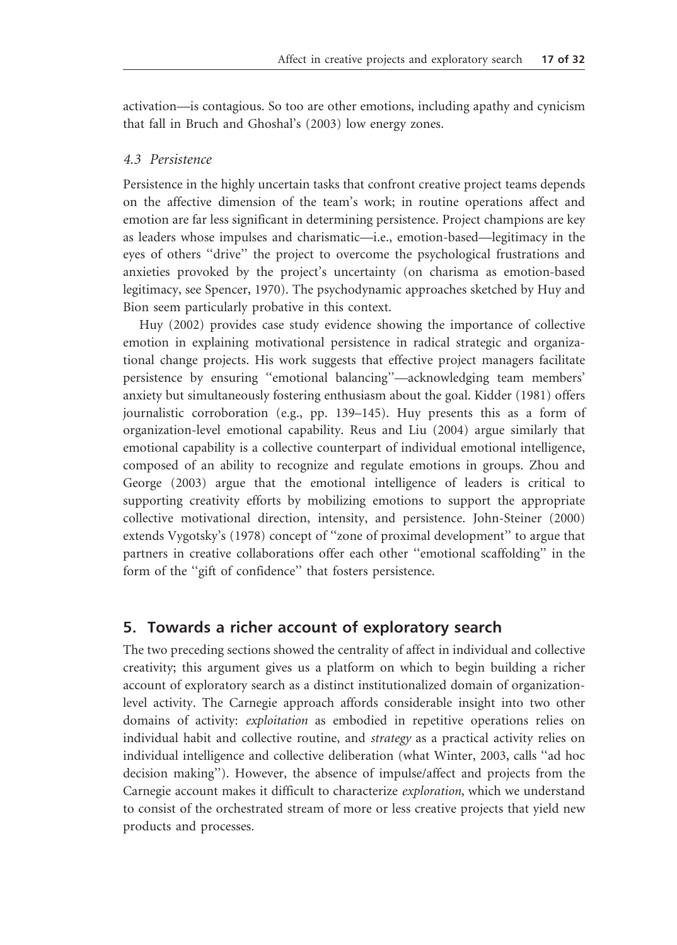activation—is contagious. So too are other emotions, including apathy and cynicism that fall in Bruch and Ghoshal's (2003) low energy zones.

## 4.3 Persistence

Persistence in the highly uncertain tasks that confront creative project teams depends on the affective dimension of the team's work; in routine operations affect and emotion are far less significant in determining persistence. Project champions are key as leaders whose impulses and charismatic—i.e., emotion-based—legitimacy in the eyes of others ''drive'' the project to overcome the psychological frustrations and anxieties provoked by the project's uncertainty (on charisma as emotion-based legitimacy, see Spencer, 1970). The psychodynamic approaches sketched by Huy and Bion seem particularly probative in this context.

Huy (2002) provides case study evidence showing the importance of collective emotion in explaining motivational persistence in radical strategic and organizational change projects. His work suggests that effective project managers facilitate persistence by ensuring ''emotional balancing''—acknowledging team members' anxiety but simultaneously fostering enthusiasm about the goal. Kidder (1981) offers journalistic corroboration (e.g., pp. 139–145). Huy presents this as a form of organization-level emotional capability. Reus and Liu (2004) argue similarly that emotional capability is a collective counterpart of individual emotional intelligence, composed of an ability to recognize and regulate emotions in groups. Zhou and George (2003) argue that the emotional intelligence of leaders is critical to supporting creativity efforts by mobilizing emotions to support the appropriate collective motivational direction, intensity, and persistence. John-Steiner (2000) extends Vygotsky's (1978) concept of ''zone of proximal development'' to argue that partners in creative collaborations offer each other ''emotional scaffolding'' in the form of the ''gift of confidence'' that fosters persistence.

## 5. Towards a richer account of exploratory search

The two preceding sections showed the centrality of affect in individual and collective creativity; this argument gives us a platform on which to begin building a richer account of exploratory search as a distinct institutionalized domain of organizationlevel activity. The Carnegie approach affords considerable insight into two other domains of activity: exploitation as embodied in repetitive operations relies on individual habit and collective routine, and strategy as a practical activity relies on individual intelligence and collective deliberation (what Winter, 2003, calls ''ad hoc decision making''). However, the absence of impulse/affect and projects from the Carnegie account makes it difficult to characterize exploration, which we understand to consist of the orchestrated stream of more or less creative projects that yield new products and processes.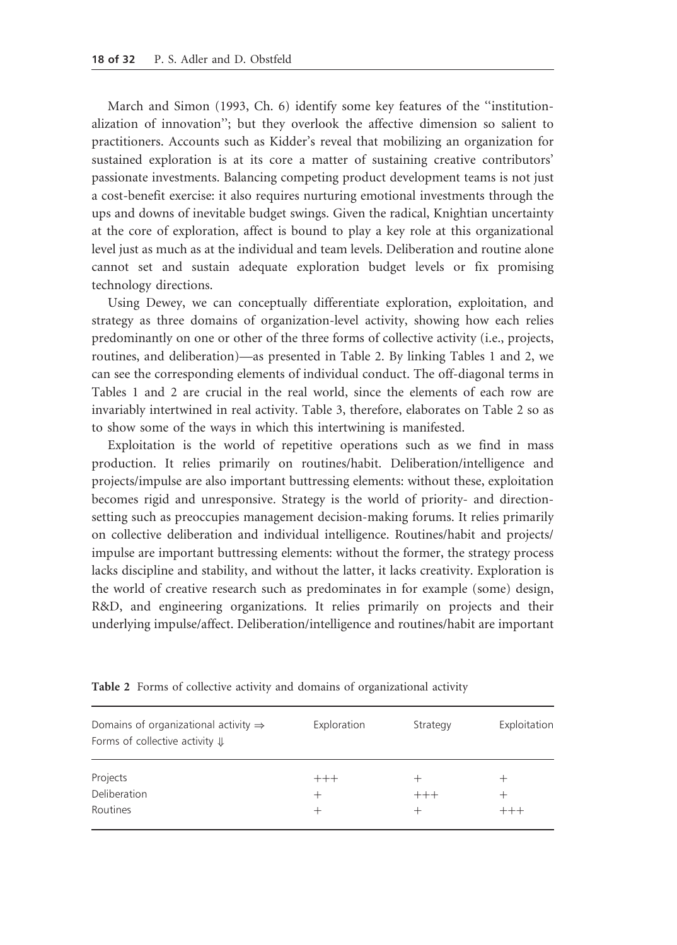March and Simon (1993, Ch. 6) identify some key features of the ''institutionalization of innovation''; but they overlook the affective dimension so salient to practitioners. Accounts such as Kidder's reveal that mobilizing an organization for sustained exploration is at its core a matter of sustaining creative contributors' passionate investments. Balancing competing product development teams is not just a cost-benefit exercise: it also requires nurturing emotional investments through the ups and downs of inevitable budget swings. Given the radical, Knightian uncertainty at the core of exploration, affect is bound to play a key role at this organizational level just as much as at the individual and team levels. Deliberation and routine alone cannot set and sustain adequate exploration budget levels or fix promising technology directions.

Using Dewey, we can conceptually differentiate exploration, exploitation, and strategy as three domains of organization-level activity, showing how each relies predominantly on one or other of the three forms of collective activity (i.e., projects, routines, and deliberation)—as presented in Table 2. By linking Tables 1 and 2, we can see the corresponding elements of individual conduct. The off-diagonal terms in Tables 1 and 2 are crucial in the real world, since the elements of each row are invariably intertwined in real activity. Table 3, therefore, elaborates on Table 2 so as to show some of the ways in which this intertwining is manifested.

Exploitation is the world of repetitive operations such as we find in mass production. It relies primarily on routines/habit. Deliberation/intelligence and projects/impulse are also important buttressing elements: without these, exploitation becomes rigid and unresponsive. Strategy is the world of priority- and directionsetting such as preoccupies management decision-making forums. It relies primarily on collective deliberation and individual intelligence. Routines/habit and projects/ impulse are important buttressing elements: without the former, the strategy process lacks discipline and stability, and without the latter, it lacks creativity. Exploration is the world of creative research such as predominates in for example (some) design, R&D, and engineering organizations. It relies primarily on projects and their underlying impulse/affect. Deliberation/intelligence and routines/habit are important

| Domains of organizational activity $\Rightarrow$<br>Forms of collective activity $\Downarrow$ | Exploration | Strategy | Exploitation |
|-----------------------------------------------------------------------------------------------|-------------|----------|--------------|
| Projects                                                                                      | $+++$       |          | $^+$         |
| Deliberation                                                                                  | $^+$        | $+++$    |              |
| Routines                                                                                      | $^+$        | $^+$     |              |

Table 2 Forms of collective activity and domains of organizational activity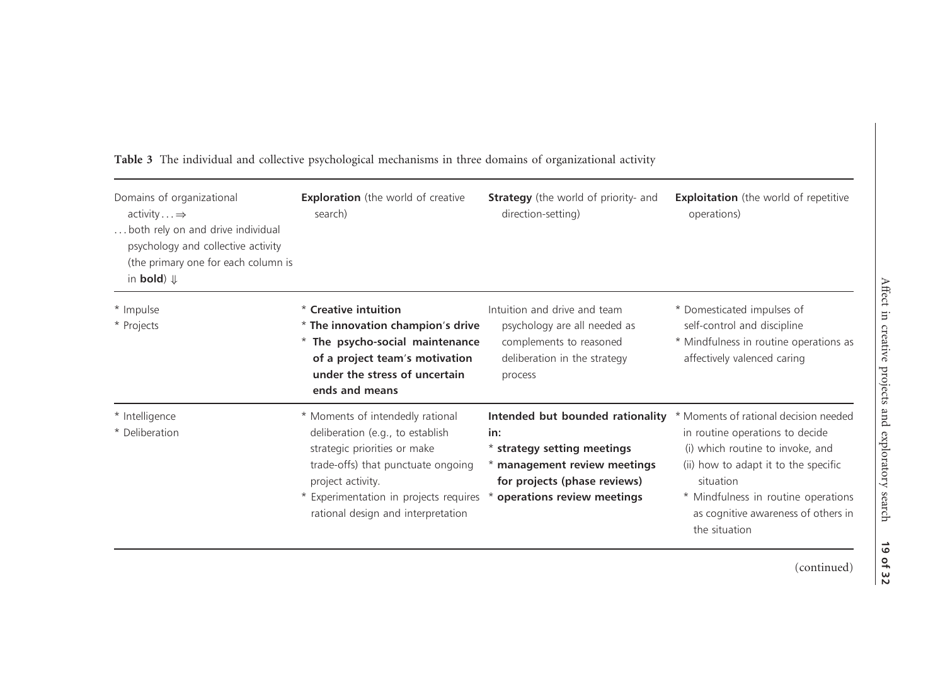| Domains of organizational<br>$activity \Rightarrow$<br>both rely on and drive individual<br>psychology and collective activity<br>(the primary one for each column is<br>in <b>bold</b> ) $\Downarrow$ | <b>Exploration</b> (the world of creative<br>search)                                                                                                                                                                                                                         | <b>Strategy</b> (the world of priority- and<br>direction-setting)                                                                      | <b>Exploitation</b> (the world of repetitive<br>operations)                                                                                                                                                                                                      |
|--------------------------------------------------------------------------------------------------------------------------------------------------------------------------------------------------------|------------------------------------------------------------------------------------------------------------------------------------------------------------------------------------------------------------------------------------------------------------------------------|----------------------------------------------------------------------------------------------------------------------------------------|------------------------------------------------------------------------------------------------------------------------------------------------------------------------------------------------------------------------------------------------------------------|
| * Impulse<br>* Projects                                                                                                                                                                                | * Creative intuition<br>* The innovation champion's drive<br>* The psycho-social maintenance<br>of a project team's motivation<br>under the stress of uncertain<br>ends and means                                                                                            | Intuition and drive and team<br>psychology are all needed as<br>complements to reasoned<br>deliberation in the strategy<br>process     | * Domesticated impulses of<br>self-control and discipline<br>* Mindfulness in routine operations as<br>affectively valenced caring                                                                                                                               |
| * Intelligence<br>* Deliberation                                                                                                                                                                       | * Moments of intendedly rational<br>deliberation (e.g., to establish<br>strategic priorities or make<br>trade-offs) that punctuate ongoing<br>project activity.<br>* Experimentation in projects requires * operations review meetings<br>rational design and interpretation | Intended but bounded rationality<br>in:<br>* strategy setting meetings<br>* management review meetings<br>for projects (phase reviews) | * Moments of rational decision needed<br>in routine operations to decide<br>(i) which routine to invoke, and<br>(ii) how to adapt it to the specific<br>situation<br>* Mindfulness in routine operations<br>as cognitive awareness of others in<br>the situation |

Table 3 The individual and collective psychological mechanisms in three domains of organizational activity

(continued)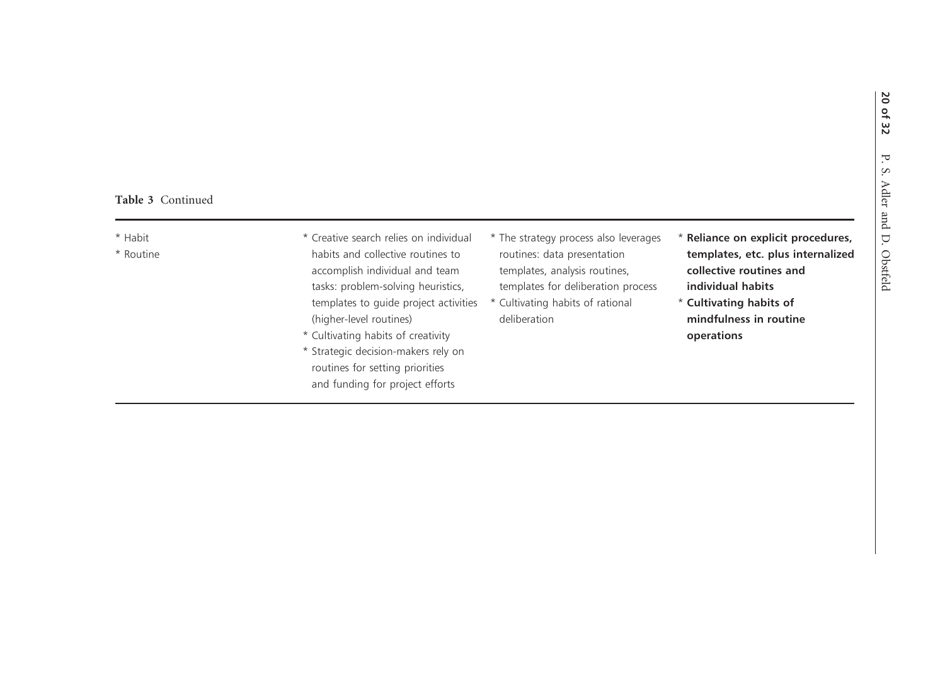#### Table 3 Continued

| * Habit<br>* Routine | * Creative search relies on individual<br>habits and collective routines to<br>accomplish individual and team<br>tasks: problem-solving heuristics,<br>templates to quide project activities<br>(higher-level routines)<br>* Cultivating habits of creativity<br>* Strategic decision-makers rely on<br>routines for setting priorities<br>and funding for project efforts | * The strategy process also leverages<br>routines: data presentation<br>templates, analysis routines,<br>templates for deliberation process<br>* Cultivating habits of rational<br>deliberation | Reliance on explicit procedures,<br>templates, etc. plus internalized<br>collective routines and<br>individual habits<br>* Cultivating habits of<br>mindfulness in routine<br>operations |
|----------------------|----------------------------------------------------------------------------------------------------------------------------------------------------------------------------------------------------------------------------------------------------------------------------------------------------------------------------------------------------------------------------|-------------------------------------------------------------------------------------------------------------------------------------------------------------------------------------------------|------------------------------------------------------------------------------------------------------------------------------------------------------------------------------------------|
|----------------------|----------------------------------------------------------------------------------------------------------------------------------------------------------------------------------------------------------------------------------------------------------------------------------------------------------------------------------------------------------------------------|-------------------------------------------------------------------------------------------------------------------------------------------------------------------------------------------------|------------------------------------------------------------------------------------------------------------------------------------------------------------------------------------------|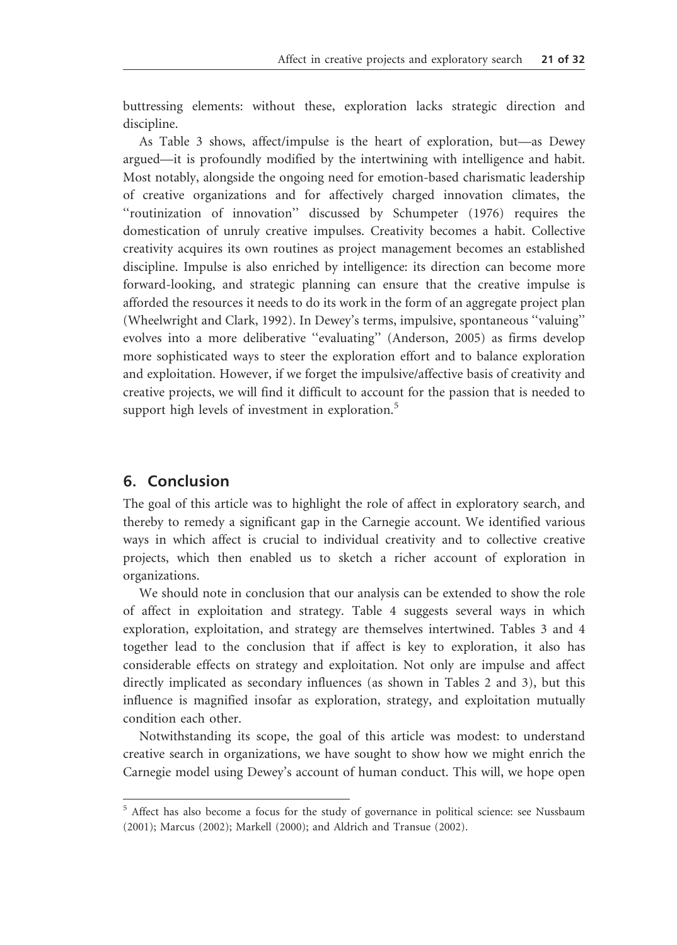buttressing elements: without these, exploration lacks strategic direction and discipline.

As Table 3 shows, affect/impulse is the heart of exploration, but—as Dewey argued—it is profoundly modified by the intertwining with intelligence and habit. Most notably, alongside the ongoing need for emotion-based charismatic leadership of creative organizations and for affectively charged innovation climates, the ''routinization of innovation'' discussed by Schumpeter (1976) requires the domestication of unruly creative impulses. Creativity becomes a habit. Collective creativity acquires its own routines as project management becomes an established discipline. Impulse is also enriched by intelligence: its direction can become more forward-looking, and strategic planning can ensure that the creative impulse is afforded the resources it needs to do its work in the form of an aggregate project plan (Wheelwright and Clark, 1992). In Dewey's terms, impulsive, spontaneous ''valuing'' evolves into a more deliberative ''evaluating'' (Anderson, 2005) as firms develop more sophisticated ways to steer the exploration effort and to balance exploration and exploitation. However, if we forget the impulsive/affective basis of creativity and creative projects, we will find it difficult to account for the passion that is needed to support high levels of investment in exploration.<sup>5</sup>

## 6. Conclusion

The goal of this article was to highlight the role of affect in exploratory search, and thereby to remedy a significant gap in the Carnegie account. We identified various ways in which affect is crucial to individual creativity and to collective creative projects, which then enabled us to sketch a richer account of exploration in organizations.

We should note in conclusion that our analysis can be extended to show the role of affect in exploitation and strategy. Table 4 suggests several ways in which exploration, exploitation, and strategy are themselves intertwined. Tables 3 and 4 together lead to the conclusion that if affect is key to exploration, it also has considerable effects on strategy and exploitation. Not only are impulse and affect directly implicated as secondary influences (as shown in Tables 2 and 3), but this influence is magnified insofar as exploration, strategy, and exploitation mutually condition each other.

Notwithstanding its scope, the goal of this article was modest: to understand creative search in organizations, we have sought to show how we might enrich the Carnegie model using Dewey's account of human conduct. This will, we hope open

<sup>&</sup>lt;sup>5</sup> Affect has also become a focus for the study of governance in political science: see Nussbaum (2001); Marcus (2002); Markell (2000); and Aldrich and Transue (2002).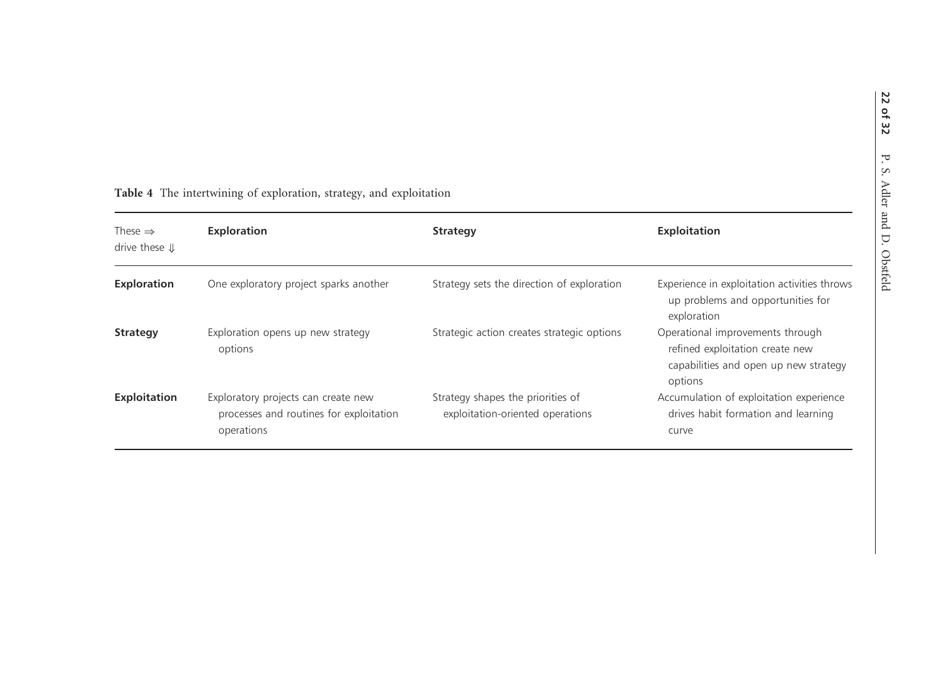| These $\Rightarrow$<br>drive these $\Downarrow$ | Exploration                                                                                  | <b>Strategy</b>                                                       | Exploitation                                                                                                            |
|-------------------------------------------------|----------------------------------------------------------------------------------------------|-----------------------------------------------------------------------|-------------------------------------------------------------------------------------------------------------------------|
| Exploration                                     | One exploratory project sparks another                                                       | Strategy sets the direction of exploration                            | Experience in exploitation activities throws<br>up problems and opportunities for<br>exploration                        |
| <b>Strategy</b>                                 | Exploration opens up new strategy<br>options                                                 | Strategic action creates strategic options                            | Operational improvements through<br>refined exploitation create new<br>capabilities and open up new strategy<br>options |
| <b>Exploitation</b>                             | Exploratory projects can create new<br>processes and routines for exploitation<br>operations | Strategy shapes the priorities of<br>exploitation-oriented operations | Accumulation of exploitation experience<br>drives habit formation and learning<br>curve                                 |

#### Table 4 The intertwining of exploration, strategy, and exploitation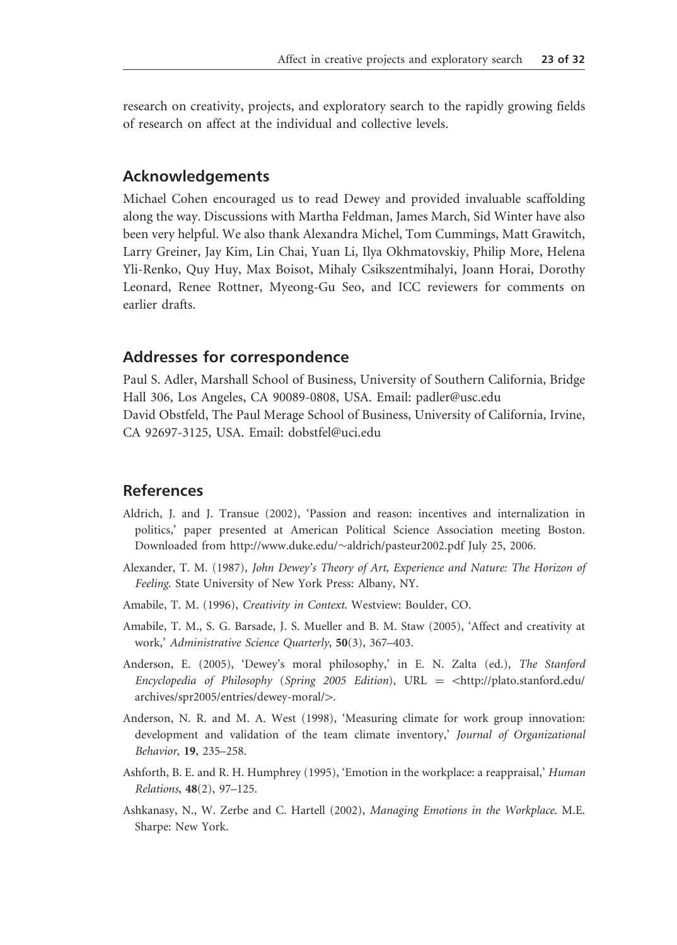research on creativity, projects, and exploratory search to the rapidly growing fields of research on affect at the individual and collective levels.

## Acknowledgements

Michael Cohen encouraged us to read Dewey and provided invaluable scaffolding along the way. Discussions with Martha Feldman, James March, Sid Winter have also been very helpful. We also thank Alexandra Michel, Tom Cummings, Matt Grawitch, Larry Greiner, Jay Kim, Lin Chai, Yuan Li, Ilya Okhmatovskiy, Philip More, Helena Yli-Renko, Quy Huy, Max Boisot, Mihaly Csikszentmihalyi, Joann Horai, Dorothy Leonard, Renee Rottner, Myeong-Gu Seo, and ICC reviewers for comments on earlier drafts.

## Addresses for correspondence

Paul S. Adler, Marshall School of Business, University of Southern California, Bridge Hall 306, Los Angeles, CA 90089-0808, USA. Email: padler@usc.edu David Obstfeld, The Paul Merage School of Business, University of California, Irvine, CA 92697-3125, USA. Email: dobstfel@uci.edu

## References

- Aldrich, J. and J. Transue (2002), 'Passion and reason: incentives and internalization in politics,' paper presented at American Political Science Association meeting Boston. Downloaded from<http://www.duke.edu/>~aldrich/pasteur2002.pdf July 25, 2006.
- Alexander, T. M. (1987), John Dewey's Theory of Art, Experience and Nature: The Horizon of Feeling. State University of New York Press: Albany, NY.
- Amabile, T. M. (1996), Creativity in Context. Westview: Boulder, CO.
- Amabile, T. M., S. G. Barsade, J. S. Mueller and B. M. Staw (2005), 'Affect and creativity at work,' Administrative Science Quarterly, 50(3), 367–403.
- Anderson, E. (2005), 'Dewey's moral philosophy,' in E. N. Zalta (ed.), The Stanford Encyclopedia of Philosophy (Spring 2005 Edition), URL =  $\langle \text{http://plato.stanford.edu/}$ archives/spr2005/entries/dewey-moral/4.
- Anderson, N. R. and M. A. West (1998), 'Measuring climate for work group innovation: development and validation of the team climate inventory,' Journal of Organizational Behavior, 19, 235–258.
- Ashforth, B. E. and R. H. Humphrey (1995), 'Emotion in the workplace: a reappraisal,' Human Relations, 48(2), 97–125.
- Ashkanasy, N., W. Zerbe and C. Hartell (2002), Managing Emotions in the Workplace. M.E. Sharpe: New York.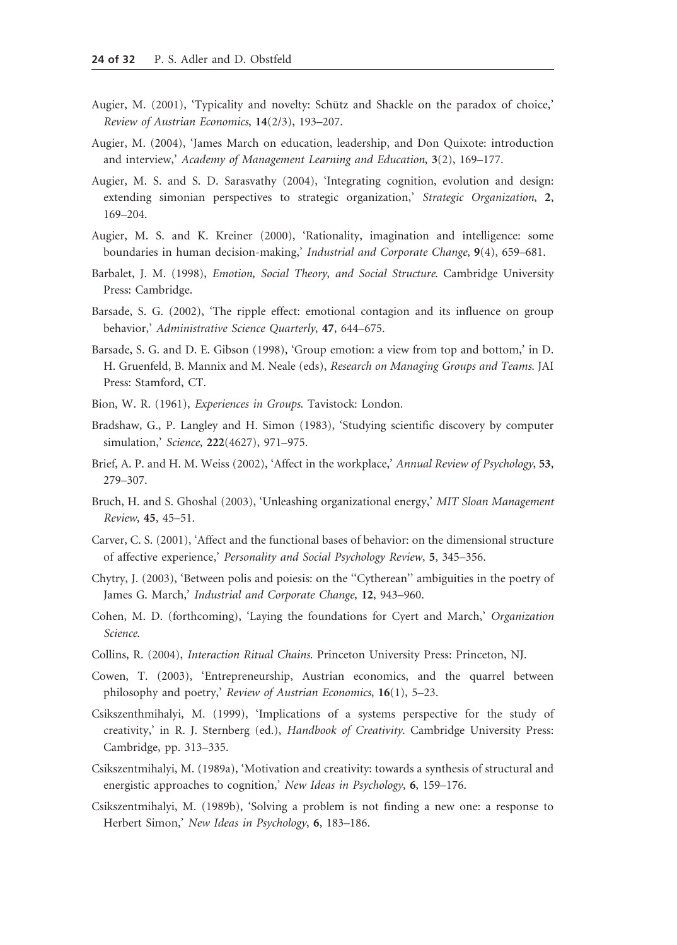- Augier, M. (2001), 'Typicality and novelty: Schütz and Shackle on the paradox of choice,' Review of Austrian Economics, 14(2/3), 193–207.
- Augier, M. (2004), 'James March on education, leadership, and Don Quixote: introduction and interview,' Academy of Management Learning and Education, 3(2), 169–177.
- Augier, M. S. and S. D. Sarasvathy (2004), 'Integrating cognition, evolution and design: extending simonian perspectives to strategic organization,' Strategic Organization, 2, 169–204.
- Augier, M. S. and K. Kreiner (2000), 'Rationality, imagination and intelligence: some boundaries in human decision-making,' Industrial and Corporate Change, 9(4), 659–681.
- Barbalet, J. M. (1998), Emotion, Social Theory, and Social Structure. Cambridge University Press: Cambridge.
- Barsade, S. G. (2002), 'The ripple effect: emotional contagion and its influence on group behavior,' Administrative Science Quarterly, 47, 644-675.
- Barsade, S. G. and D. E. Gibson (1998), 'Group emotion: a view from top and bottom,' in D. H. Gruenfeld, B. Mannix and M. Neale (eds), Research on Managing Groups and Teams. JAI Press: Stamford, CT.
- Bion, W. R. (1961), Experiences in Groups. Tavistock: London.
- Bradshaw, G., P. Langley and H. Simon (1983), 'Studying scientific discovery by computer simulation,' Science, 222(4627), 971–975.
- Brief, A. P. and H. M. Weiss (2002), 'Affect in the workplace,' Annual Review of Psychology, 53, 279–307.
- Bruch, H. and S. Ghoshal (2003), 'Unleashing organizational energy,' MIT Sloan Management Review, 45, 45–51.
- Carver, C. S. (2001), 'Affect and the functional bases of behavior: on the dimensional structure of affective experience,' Personality and Social Psychology Review, 5, 345–356.
- Chytry, J. (2003), 'Between polis and poiesis: on the ''Cytherean'' ambiguities in the poetry of James G. March,' Industrial and Corporate Change, 12, 943–960.
- Cohen, M. D. (forthcoming), 'Laying the foundations for Cyert and March,' Organization Science.
- Collins, R. (2004), Interaction Ritual Chains. Princeton University Press: Princeton, NJ.
- Cowen, T. (2003), 'Entrepreneurship, Austrian economics, and the quarrel between philosophy and poetry,' Review of Austrian Economics, 16(1), 5–23.
- Csikszenthmihalyi, M. (1999), 'Implications of a systems perspective for the study of creativity,' in R. J. Sternberg (ed.), Handbook of Creativity. Cambridge University Press: Cambridge, pp. 313–335.
- Csikszentmihalyi, M. (1989a), 'Motivation and creativity: towards a synthesis of structural and energistic approaches to cognition,' New Ideas in Psychology, 6, 159–176.
- Csikszentmihalyi, M. (1989b), 'Solving a problem is not finding a new one: a response to Herbert Simon,' New Ideas in Psychology, 6, 183–186.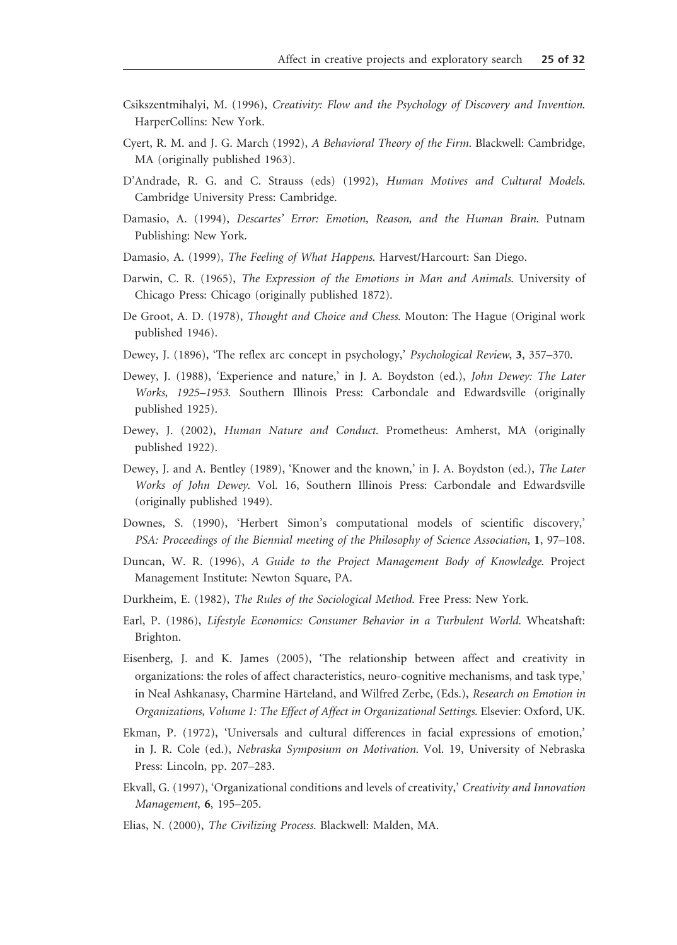- Csikszentmihalyi, M. (1996), Creativity: Flow and the Psychology of Discovery and Invention. HarperCollins: New York.
- Cyert, R. M. and J. G. March (1992), A Behavioral Theory of the Firm. Blackwell: Cambridge, MA (originally published 1963).
- D'Andrade, R. G. and C. Strauss (eds) (1992), Human Motives and Cultural Models. Cambridge University Press: Cambridge.
- Damasio, A. (1994), Descartes' Error: Emotion, Reason, and the Human Brain. Putnam Publishing: New York.
- Damasio, A. (1999), The Feeling of What Happens. Harvest/Harcourt: San Diego.
- Darwin, C. R. (1965), The Expression of the Emotions in Man and Animals. University of Chicago Press: Chicago (originally published 1872).
- De Groot, A. D. (1978), Thought and Choice and Chess. Mouton: The Hague (Original work published 1946).
- Dewey, J. (1896), 'The reflex arc concept in psychology,' Psychological Review, 3, 357–370.
- Dewey, J. (1988), 'Experience and nature,' in J. A. Boydston (ed.), John Dewey: The Later Works, 1925–1953. Southern Illinois Press: Carbondale and Edwardsville (originally published 1925).
- Dewey, J. (2002), Human Nature and Conduct. Prometheus: Amherst, MA (originally published 1922).
- Dewey, J. and A. Bentley (1989), 'Knower and the known,' in J. A. Boydston (ed.), The Later Works of John Dewey. Vol. 16, Southern Illinois Press: Carbondale and Edwardsville (originally published 1949).
- Downes, S. (1990), 'Herbert Simon's computational models of scientific discovery,' PSA: Proceedings of the Biennial meeting of the Philosophy of Science Association, 1, 97–108.
- Duncan, W. R. (1996), A Guide to the Project Management Body of Knowledge. Project Management Institute: Newton Square, PA.
- Durkheim, E. (1982), The Rules of the Sociological Method. Free Press: New York.
- Earl, P. (1986), Lifestyle Economics: Consumer Behavior in a Turbulent World. Wheatshaft: Brighton.
- Eisenberg, J. and K. James (2005), 'The relationship between affect and creativity in organizations: the roles of affect characteristics, neuro-cognitive mechanisms, and task type,' in Neal Ashkanasy, Charmine Härteland, and Wilfred Zerbe, (Eds.), Research on Emotion in Organizations, Volume 1: The Effect of Affect in Organizational Settings. Elsevier: Oxford, UK.
- Ekman, P. (1972), 'Universals and cultural differences in facial expressions of emotion,' in J. R. Cole (ed.), Nebraska Symposium on Motivation. Vol. 19, University of Nebraska Press: Lincoln, pp. 207–283.
- Ekvall, G. (1997), 'Organizational conditions and levels of creativity,' Creativity and Innovation Management, 6, 195–205.
- Elias, N. (2000), The Civilizing Process. Blackwell: Malden, MA.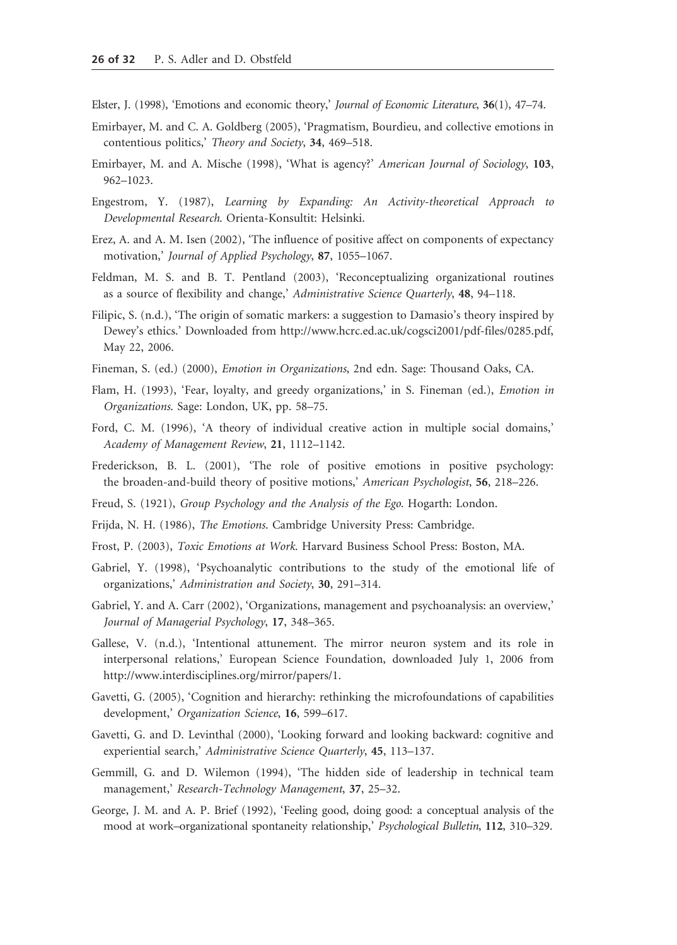- Elster, J. (1998), 'Emotions and economic theory,' Journal of Economic Literature, 36(1), 47–74.
- Emirbayer, M. and C. A. Goldberg (2005), 'Pragmatism, Bourdieu, and collective emotions in contentious politics,' Theory and Society, 34, 469–518.
- Emirbayer, M. and A. Mische (1998), 'What is agency?' American Journal of Sociology, 103, 962–1023.
- Engestrom, Y. (1987), Learning by Expanding: An Activity-theoretical Approach to Developmental Research. Orienta-Konsultit: Helsinki.
- Erez, A. and A. M. Isen (2002), 'The influence of positive affect on components of expectancy motivation,' Journal of Applied Psychology, 87, 1055–1067.
- Feldman, M. S. and B. T. Pentland (2003), 'Reconceptualizing organizational routines as a source of flexibility and change,' Administrative Science Quarterly, 48, 94–118.
- Filipic, S. (n.d.), 'The origin of somatic markers: a suggestion to Damasio's theory inspired by Dewey's ethics.' Downloaded from [http://www.hcrc.ed.ac.uk/cogsci2001/pdf-files/0285.pdf,](http://www.hcrc.ed.ac.uk/cogsci2001/pdf-files/0285.pdf) May 22, 2006.
- Fineman, S. (ed.) (2000), Emotion in Organizations, 2nd edn. Sage: Thousand Oaks, CA.
- Flam, H. (1993), 'Fear, loyalty, and greedy organizations,' in S. Fineman (ed.), Emotion in Organizations. Sage: London, UK, pp. 58–75.
- Ford, C. M. (1996), 'A theory of individual creative action in multiple social domains,' Academy of Management Review, 21, 1112–1142.
- Frederickson, B. L. (2001), 'The role of positive emotions in positive psychology: the broaden-and-build theory of positive motions,' American Psychologist, 56, 218–226.
- Freud, S. (1921), Group Psychology and the Analysis of the Ego. Hogarth: London.
- Frijda, N. H. (1986), The Emotions. Cambridge University Press: Cambridge.
- Frost, P. (2003), Toxic Emotions at Work. Harvard Business School Press: Boston, MA.
- Gabriel, Y. (1998), 'Psychoanalytic contributions to the study of the emotional life of organizations,' Administration and Society, 30, 291–314.
- Gabriel, Y. and A. Carr (2002), 'Organizations, management and psychoanalysis: an overview,' Journal of Managerial Psychology, 17, 348–365.
- Gallese, V. (n.d.), 'Intentional attunement. The mirror neuron system and its role in interpersonal relations,' European Science Foundation, downloaded July 1, 2006 from [http://www.interdisciplines.org/mirror/papers/1.](http://www.interdisciplines.org/mirror/papers/1)
- Gavetti, G. (2005), 'Cognition and hierarchy: rethinking the microfoundations of capabilities development,' Organization Science, 16, 599–617.
- Gavetti, G. and D. Levinthal (2000), 'Looking forward and looking backward: cognitive and experiential search,' Administrative Science Quarterly, 45, 113–137.
- Gemmill, G. and D. Wilemon (1994), 'The hidden side of leadership in technical team management,' Research-Technology Management, 37, 25–32.
- George, J. M. and A. P. Brief (1992), 'Feeling good, doing good: a conceptual analysis of the mood at work–organizational spontaneity relationship,' Psychological Bulletin, 112, 310–329.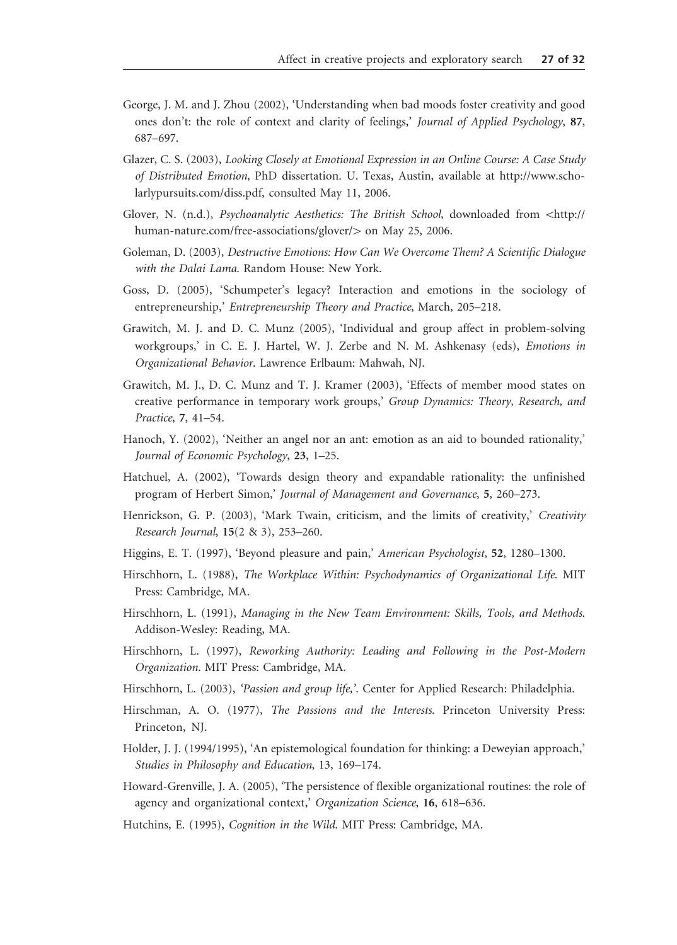- George, J. M. and J. Zhou (2002), 'Understanding when bad moods foster creativity and good ones don't: the role of context and clarity of feelings,' Journal of Applied Psychology, 87, 687–697.
- Glazer, C. S. (2003), Looking Closely at Emotional Expression in an Online Course: A Case Study of Distributed Emotion[, PhD dissertation. U. Texas, Austin, available at http://www.scho](http://www.scholarlypursuits.com/diss.pdf)larlypursuits.com/diss.pdf, consulted May 11, 2006.
- Glover, N. (n.d.), Psychoanalytic Aesthetics: The British School, downloaded from <http:// human-nature.com/free-associations/glover/> on May 25, 2006.
- Goleman, D. (2003), Destructive Emotions: How Can We Overcome Them? A Scientific Dialogue with the Dalai Lama. Random House: New York.
- Goss, D. (2005), 'Schumpeter's legacy? Interaction and emotions in the sociology of entrepreneurship,' Entrepreneurship Theory and Practice, March, 205–218.
- Grawitch, M. J. and D. C. Munz (2005), 'Individual and group affect in problem-solving workgroups,' in C. E. J. Hartel, W. J. Zerbe and N. M. Ashkenasy (eds), *Emotions in* Organizational Behavior. Lawrence Erlbaum: Mahwah, NJ.
- Grawitch, M. J., D. C. Munz and T. J. Kramer (2003), 'Effects of member mood states on creative performance in temporary work groups,' Group Dynamics: Theory, Research, and Practice, 7, 41–54.
- Hanoch, Y. (2002), 'Neither an angel nor an ant: emotion as an aid to bounded rationality,' Journal of Economic Psychology, 23, 1–25.
- Hatchuel, A. (2002), 'Towards design theory and expandable rationality: the unfinished program of Herbert Simon,' Journal of Management and Governance, 5, 260–273.
- Henrickson, G. P. (2003), 'Mark Twain, criticism, and the limits of creativity,' Creativity Research Journal, 15(2 & 3), 253–260.
- Higgins, E. T. (1997), 'Beyond pleasure and pain,' American Psychologist, 52, 1280–1300.
- Hirschhorn, L. (1988), The Workplace Within: Psychodynamics of Organizational Life. MIT Press: Cambridge, MA.
- Hirschhorn, L. (1991), Managing in the New Team Environment: Skills, Tools, and Methods. Addison-Wesley: Reading, MA.
- Hirschhorn, L. (1997), Reworking Authority: Leading and Following in the Post-Modern Organization. MIT Press: Cambridge, MA.
- Hirschhorn, L. (2003), 'Passion and group life,'. Center for Applied Research: Philadelphia.
- Hirschman, A. O. (1977), The Passions and the Interests. Princeton University Press: Princeton, NJ.
- Holder, J. J. (1994/1995), 'An epistemological foundation for thinking: a Deweyian approach,' Studies in Philosophy and Education, 13, 169–174.
- Howard-Grenville, J. A. (2005), 'The persistence of flexible organizational routines: the role of agency and organizational context,' Organization Science, 16, 618–636.
- Hutchins, E. (1995), Cognition in the Wild. MIT Press: Cambridge, MA.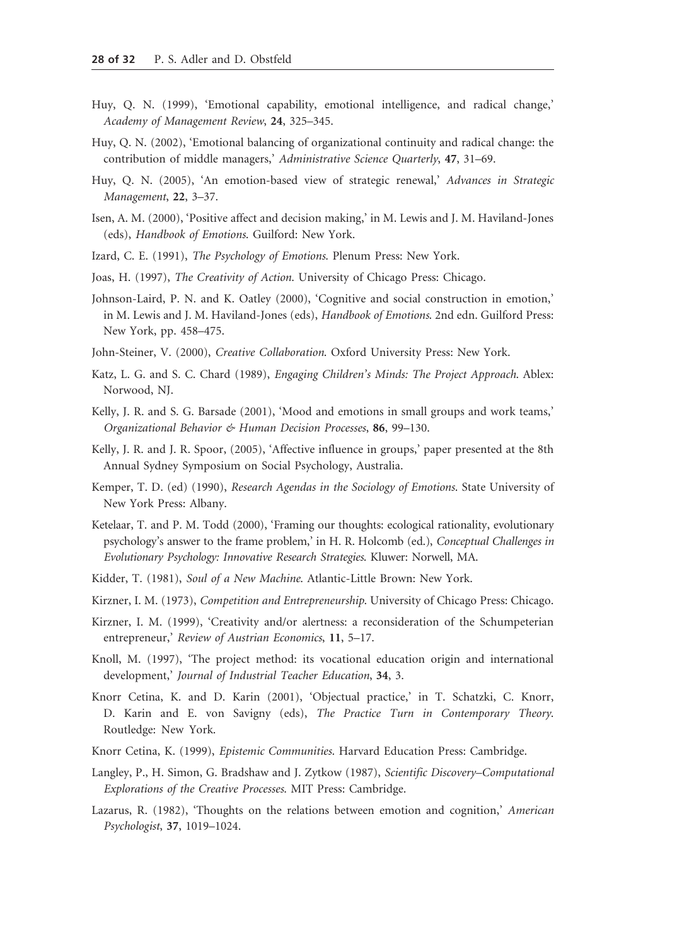- Huy, Q. N. (1999), 'Emotional capability, emotional intelligence, and radical change,' Academy of Management Review, 24, 325–345.
- Huy, Q. N. (2002), 'Emotional balancing of organizational continuity and radical change: the contribution of middle managers,' Administrative Science Quarterly, 47, 31–69.
- Huy, O. N. (2005), 'An emotion-based view of strategic renewal,' Advances in Strategic Management, 22, 3–37.
- Isen, A. M. (2000), 'Positive affect and decision making,' in M. Lewis and J. M. Haviland-Jones (eds), Handbook of Emotions. Guilford: New York.
- Izard, C. E. (1991), The Psychology of Emotions. Plenum Press: New York.
- Joas, H. (1997), The Creativity of Action. University of Chicago Press: Chicago.
- Johnson-Laird, P. N. and K. Oatley (2000), 'Cognitive and social construction in emotion,' in M. Lewis and J. M. Haviland-Jones (eds), Handbook of Emotions. 2nd edn. Guilford Press: New York, pp. 458–475.
- John-Steiner, V. (2000), Creative Collaboration. Oxford University Press: New York.
- Katz, L. G. and S. C. Chard (1989), Engaging Children's Minds: The Project Approach. Ablex: Norwood, NJ.
- Kelly, J. R. and S. G. Barsade (2001), 'Mood and emotions in small groups and work teams,' Organizational Behavior & Human Decision Processes, 86, 99–130.
- Kelly, J. R. and J. R. Spoor, (2005), 'Affective influence in groups,' paper presented at the 8th Annual Sydney Symposium on Social Psychology, Australia.
- Kemper, T. D. (ed) (1990), Research Agendas in the Sociology of Emotions. State University of New York Press: Albany.
- Ketelaar, T. and P. M. Todd (2000), 'Framing our thoughts: ecological rationality, evolutionary psychology's answer to the frame problem,' in H. R. Holcomb (ed.), Conceptual Challenges in Evolutionary Psychology: Innovative Research Strategies. Kluwer: Norwell, MA.
- Kidder, T. (1981), Soul of a New Machine. Atlantic-Little Brown: New York.
- Kirzner, I. M. (1973), Competition and Entrepreneurship. University of Chicago Press: Chicago.
- Kirzner, I. M. (1999), 'Creativity and/or alertness: a reconsideration of the Schumpeterian entrepreneur,' Review of Austrian Economics, 11, 5–17.
- Knoll, M. (1997), 'The project method: its vocational education origin and international development,' Journal of Industrial Teacher Education, 34, 3.
- Knorr Cetina, K. and D. Karin (2001), 'Objectual practice,' in T. Schatzki, C. Knorr, D. Karin and E. von Savigny (eds), The Practice Turn in Contemporary Theory. Routledge: New York.
- Knorr Cetina, K. (1999), Epistemic Communities. Harvard Education Press: Cambridge.
- Langley, P., H. Simon, G. Bradshaw and J. Zytkow (1987), Scientific Discovery–Computational Explorations of the Creative Processes. MIT Press: Cambridge.
- Lazarus, R. (1982), 'Thoughts on the relations between emotion and cognition,' American Psychologist, 37, 1019–1024.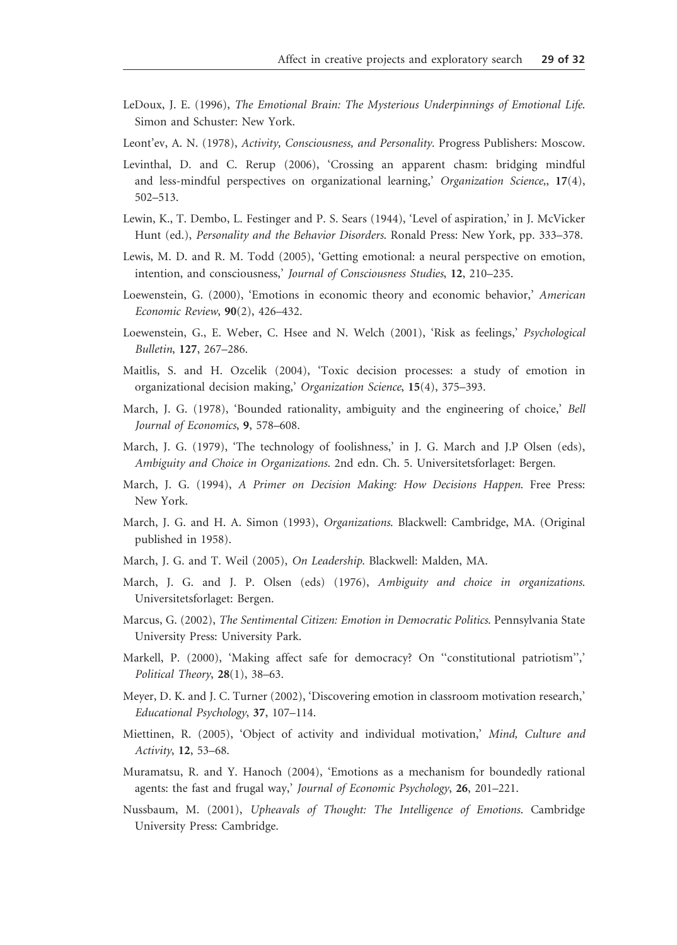- LeDoux, J. E. (1996), The Emotional Brain: The Mysterious Underpinnings of Emotional Life. Simon and Schuster: New York.
- Leont'ev, A. N. (1978), Activity, Consciousness, and Personality. Progress Publishers: Moscow.
- Levinthal, D. and C. Rerup (2006), 'Crossing an apparent chasm: bridging mindful and less-mindful perspectives on organizational learning,' Organization Science,, 17(4), 502–513.
- Lewin, K., T. Dembo, L. Festinger and P. S. Sears (1944), 'Level of aspiration,' in J. McVicker Hunt (ed.), Personality and the Behavior Disorders. Ronald Press: New York, pp. 333–378.
- Lewis, M. D. and R. M. Todd (2005), 'Getting emotional: a neural perspective on emotion, intention, and consciousness,' Journal of Consciousness Studies, 12, 210–235.
- Loewenstein, G. (2000), 'Emotions in economic theory and economic behavior,' American Economic Review, 90(2), 426–432.
- Loewenstein, G., E. Weber, C. Hsee and N. Welch (2001), 'Risk as feelings,' Psychological Bulletin, 127, 267–286.
- Maitlis, S. and H. Ozcelik (2004), 'Toxic decision processes: a study of emotion in organizational decision making,' Organization Science, 15(4), 375–393.
- March, J. G. (1978), 'Bounded rationality, ambiguity and the engineering of choice,' Bell Journal of Economics, 9, 578–608.
- March, J. G. (1979), 'The technology of foolishness,' in J. G. March and J.P Olsen (eds), Ambiguity and Choice in Organizations. 2nd edn. Ch. 5. Universitetsforlaget: Bergen.
- March, J. G. (1994), A Primer on Decision Making: How Decisions Happen. Free Press: New York.
- March, J. G. and H. A. Simon (1993), Organizations. Blackwell: Cambridge, MA. (Original published in 1958).
- March, J. G. and T. Weil (2005), On Leadership. Blackwell: Malden, MA.
- March, J. G. and J. P. Olsen (eds) (1976), Ambiguity and choice in organizations. Universitetsforlaget: Bergen.
- Marcus, G. (2002), The Sentimental Citizen: Emotion in Democratic Politics. Pennsylvania State University Press: University Park.
- Markell, P. (2000), 'Making affect safe for democracy? On "constitutional patriotism",' Political Theory, 28(1), 38–63.
- Meyer, D. K. and J. C. Turner (2002), 'Discovering emotion in classroom motivation research,' Educational Psychology, 37, 107–114.
- Miettinen, R. (2005), 'Object of activity and individual motivation,' Mind, Culture and Activity, 12, 53–68.
- Muramatsu, R. and Y. Hanoch (2004), 'Emotions as a mechanism for boundedly rational agents: the fast and frugal way,' Journal of Economic Psychology, 26, 201-221.
- Nussbaum, M. (2001), Upheavals of Thought: The Intelligence of Emotions. Cambridge University Press: Cambridge.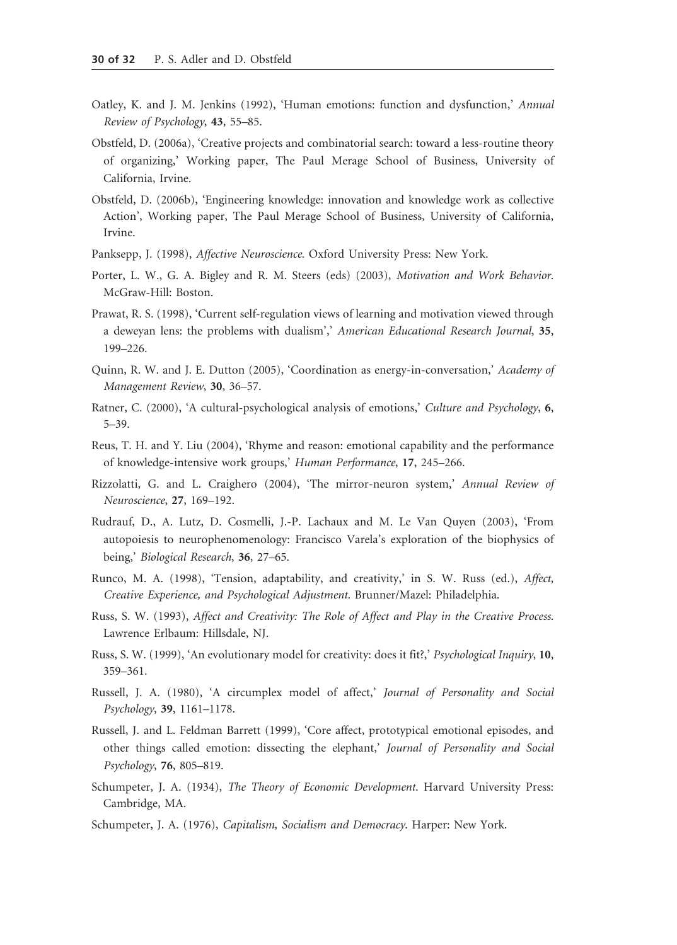- Oatley, K. and J. M. Jenkins (1992), 'Human emotions: function and dysfunction,' Annual Review of Psychology, 43, 55–85.
- Obstfeld, D. (2006a), 'Creative projects and combinatorial search: toward a less-routine theory of organizing,' Working paper, The Paul Merage School of Business, University of California, Irvine.
- Obstfeld, D. (2006b), 'Engineering knowledge: innovation and knowledge work as collective Action', Working paper, The Paul Merage School of Business, University of California, Irvine.
- Panksepp, J. (1998), Affective Neuroscience. Oxford University Press: New York.
- Porter, L. W., G. A. Bigley and R. M. Steers (eds) (2003), Motivation and Work Behavior. McGraw-Hill: Boston.
- Prawat, R. S. (1998), 'Current self-regulation views of learning and motivation viewed through a deweyan lens: the problems with dualism',' American Educational Research Journal, 35, 199–226.
- Quinn, R. W. and J. E. Dutton (2005), 'Coordination as energy-in-conversation,' Academy of Management Review, 30, 36–57.
- Ratner, C. (2000), 'A cultural-psychological analysis of emotions,' Culture and Psychology, 6, 5–39.
- Reus, T. H. and Y. Liu (2004), 'Rhyme and reason: emotional capability and the performance of knowledge-intensive work groups,' Human Performance, 17, 245–266.
- Rizzolatti, G. and L. Craighero (2004), 'The mirror-neuron system,' Annual Review of Neuroscience, 27, 169–192.
- Rudrauf, D., A. Lutz, D. Cosmelli, J.-P. Lachaux and M. Le Van Quyen (2003), 'From autopoiesis to neurophenomenology: Francisco Varela's exploration of the biophysics of being,' Biological Research, 36, 27–65.
- Runco, M. A. (1998), 'Tension, adaptability, and creativity,' in S. W. Russ (ed.), Affect, Creative Experience, and Psychological Adjustment. Brunner/Mazel: Philadelphia.
- Russ, S. W. (1993), Affect and Creativity: The Role of Affect and Play in the Creative Process. Lawrence Erlbaum: Hillsdale, NJ.
- Russ, S. W. (1999), 'An evolutionary model for creativity: does it fit?,' Psychological Inquiry, 10, 359–361.
- Russell, J. A. (1980), 'A circumplex model of affect,' Journal of Personality and Social Psychology, 39, 1161–1178.
- Russell, J. and L. Feldman Barrett (1999), 'Core affect, prototypical emotional episodes, and other things called emotion: dissecting the elephant,' Journal of Personality and Social Psychology, 76, 805–819.
- Schumpeter, J. A. (1934), The Theory of Economic Development. Harvard University Press: Cambridge, MA.
- Schumpeter, J. A. (1976), Capitalism, Socialism and Democracy. Harper: New York.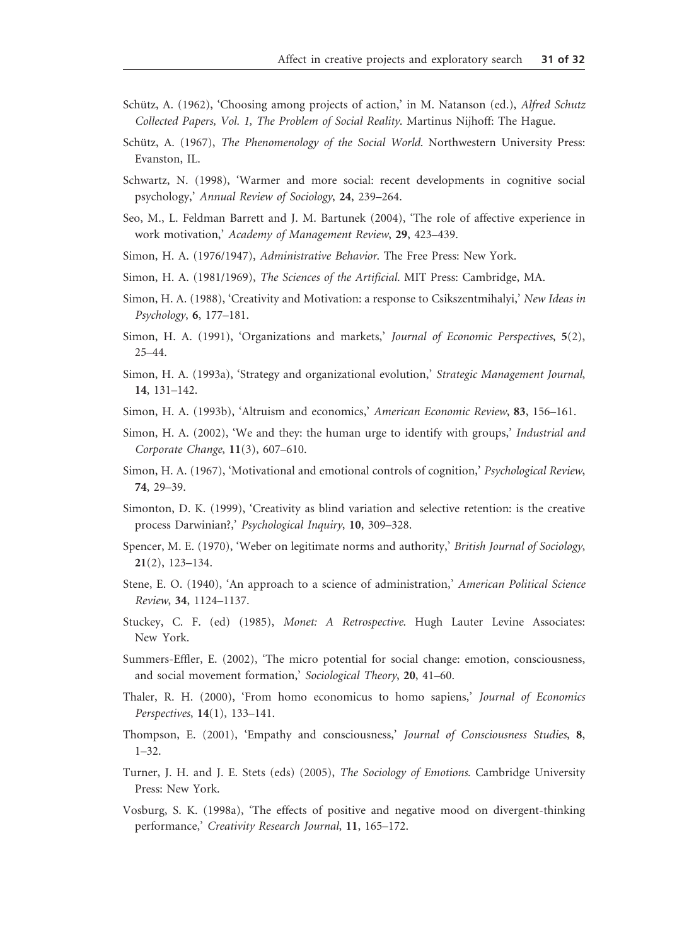- Schütz, A. (1962), 'Choosing among projects of action,' in M. Natanson (ed.), Alfred Schutz Collected Papers, Vol. 1, The Problem of Social Reality. Martinus Nijhoff: The Hague.
- Schütz, A. (1967), The Phenomenology of the Social World. Northwestern University Press: Evanston, IL.
- Schwartz, N. (1998), 'Warmer and more social: recent developments in cognitive social psychology,' Annual Review of Sociology, 24, 239–264.
- Seo, M., L. Feldman Barrett and J. M. Bartunek (2004), 'The role of affective experience in work motivation,' Academy of Management Review, 29, 423–439.
- Simon, H. A. (1976/1947), Administrative Behavior. The Free Press: New York.
- Simon, H. A. (1981/1969), The Sciences of the Artificial. MIT Press: Cambridge, MA.
- Simon, H. A. (1988), 'Creativity and Motivation: a response to Csikszentmihalyi,' New Ideas in Psychology, 6, 177–181.
- Simon, H. A. (1991), 'Organizations and markets,' Journal of Economic Perspectives, 5(2), 25–44.
- Simon, H. A. (1993a), 'Strategy and organizational evolution,' Strategic Management Journal, 14, 131–142.
- Simon, H. A. (1993b), 'Altruism and economics,' American Economic Review, 83, 156–161.
- Simon, H. A. (2002), 'We and they: the human urge to identify with groups,' Industrial and Corporate Change, 11(3), 607–610.
- Simon, H. A. (1967), 'Motivational and emotional controls of cognition,' Psychological Review, 74, 29–39.
- Simonton, D. K. (1999), 'Creativity as blind variation and selective retention: is the creative process Darwinian?,' Psychological Inquiry, 10, 309–328.
- Spencer, M. E. (1970), 'Weber on legitimate norms and authority,' British Journal of Sociology, 21(2), 123–134.
- Stene, E. O. (1940), 'An approach to a science of administration,' American Political Science Review, 34, 1124–1137.
- Stuckey, C. F. (ed) (1985), Monet: A Retrospective. Hugh Lauter Levine Associates: New York.
- Summers-Effler, E. (2002), 'The micro potential for social change: emotion, consciousness, and social movement formation,' Sociological Theory, 20, 41–60.
- Thaler, R. H. (2000), 'From homo economicus to homo sapiens,' Journal of Economics Perspectives, 14(1), 133–141.
- Thompson, E. (2001), 'Empathy and consciousness,' Journal of Consciousness Studies, 8, 1–32.
- Turner, J. H. and J. E. Stets (eds) (2005), The Sociology of Emotions. Cambridge University Press: New York.
- Vosburg, S. K. (1998a), 'The effects of positive and negative mood on divergent-thinking performance,' Creativity Research Journal, 11, 165–172.